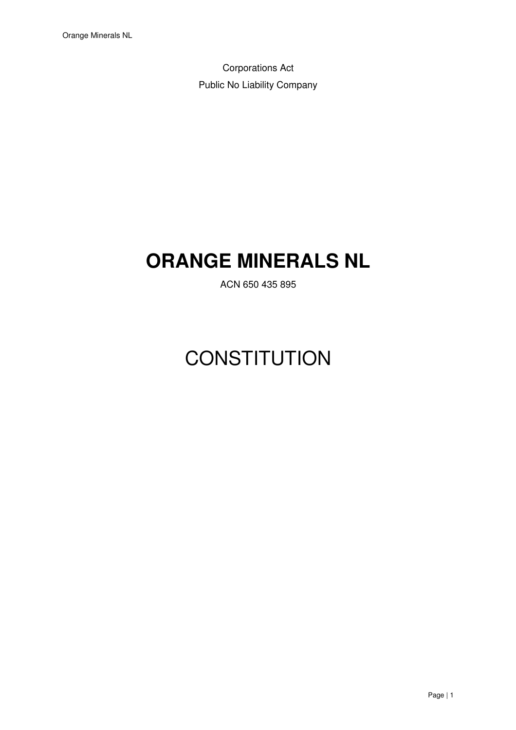Corporations Act Public No Liability Company

# **ORANGE MINERALS NL**

ACN 650 435 895

# **CONSTITUTION**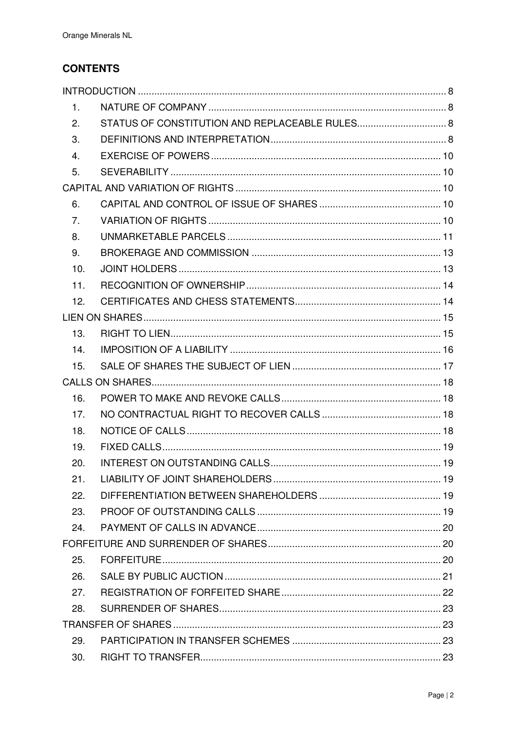# **CONTENTS**

| 1.  |  |
|-----|--|
| 2.  |  |
| 3.  |  |
| 4.  |  |
| 5.  |  |
|     |  |
| 6.  |  |
| 7.  |  |
| 8.  |  |
| 9.  |  |
| 10. |  |
| 11. |  |
| 12. |  |
|     |  |
| 13. |  |
| 14. |  |
| 15. |  |
|     |  |
| 16. |  |
| 17. |  |
| 18. |  |
| 19. |  |
| 20. |  |
| 21. |  |
| 22. |  |
| 23. |  |
| 24. |  |
|     |  |
| 25. |  |
| 26. |  |
| 27. |  |
| 28. |  |
|     |  |
| 29. |  |
| 30. |  |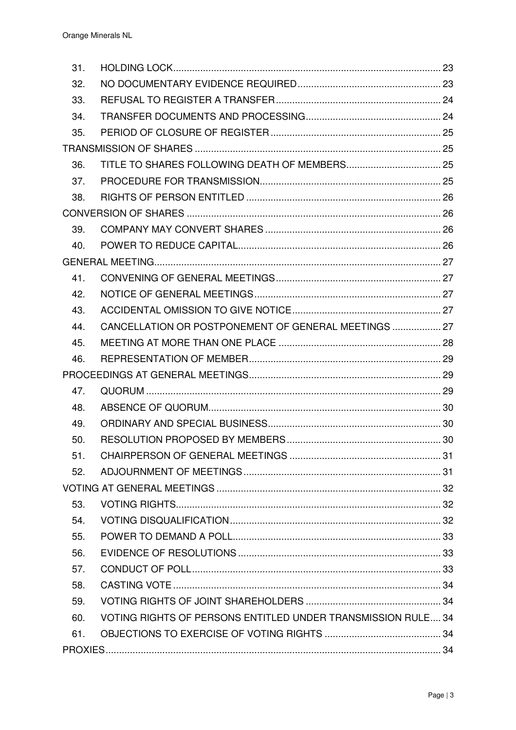| 31. |                                                              |  |
|-----|--------------------------------------------------------------|--|
| 32. |                                                              |  |
| 33. |                                                              |  |
| 34. |                                                              |  |
| 35. |                                                              |  |
|     |                                                              |  |
| 36. |                                                              |  |
| 37. |                                                              |  |
| 38. |                                                              |  |
|     |                                                              |  |
| 39. |                                                              |  |
| 40. |                                                              |  |
|     |                                                              |  |
| 41. |                                                              |  |
| 42. |                                                              |  |
| 43. |                                                              |  |
| 44. | CANCELLATION OR POSTPONEMENT OF GENERAL MEETINGS  27         |  |
| 45. |                                                              |  |
| 46. |                                                              |  |
|     |                                                              |  |
| 47. |                                                              |  |
| 48. |                                                              |  |
| 49. |                                                              |  |
| 50. |                                                              |  |
| 51. |                                                              |  |
| 52. |                                                              |  |
|     |                                                              |  |
| 53. |                                                              |  |
| 54. |                                                              |  |
| 55. |                                                              |  |
| 56. |                                                              |  |
| 57. |                                                              |  |
| 58. |                                                              |  |
| 59. |                                                              |  |
| 60. | VOTING RIGHTS OF PERSONS ENTITLED UNDER TRANSMISSION RULE 34 |  |
| 61. |                                                              |  |
|     |                                                              |  |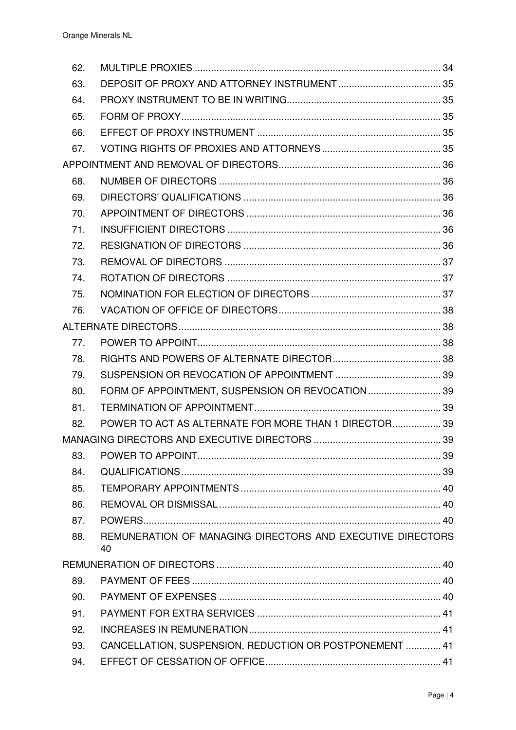| 62. |                                                                  |  |
|-----|------------------------------------------------------------------|--|
| 63. |                                                                  |  |
| 64. |                                                                  |  |
| 65. |                                                                  |  |
| 66. |                                                                  |  |
| 67. |                                                                  |  |
|     |                                                                  |  |
| 68. |                                                                  |  |
| 69. |                                                                  |  |
| 70. |                                                                  |  |
| 71. |                                                                  |  |
| 72. |                                                                  |  |
| 73. |                                                                  |  |
| 74. |                                                                  |  |
| 75. |                                                                  |  |
| 76. |                                                                  |  |
|     |                                                                  |  |
| 77. |                                                                  |  |
| 78. |                                                                  |  |
| 79. |                                                                  |  |
| 80. | FORM OF APPOINTMENT, SUSPENSION OR REVOCATION 39                 |  |
| 81. |                                                                  |  |
| 82. | POWER TO ACT AS ALTERNATE FOR MORE THAN 1 DIRECTOR 39            |  |
|     |                                                                  |  |
| 83. |                                                                  |  |
| 84. |                                                                  |  |
| 85. |                                                                  |  |
| 86. |                                                                  |  |
| 87. |                                                                  |  |
| 88. | REMUNERATION OF MANAGING DIRECTORS AND EXECUTIVE DIRECTORS<br>40 |  |
|     |                                                                  |  |
| 89. |                                                                  |  |
| 90. |                                                                  |  |
| 91. |                                                                  |  |
| 92. |                                                                  |  |
| 93. | CANCELLATION, SUSPENSION, REDUCTION OR POSTPONEMENT  41          |  |
| 94. |                                                                  |  |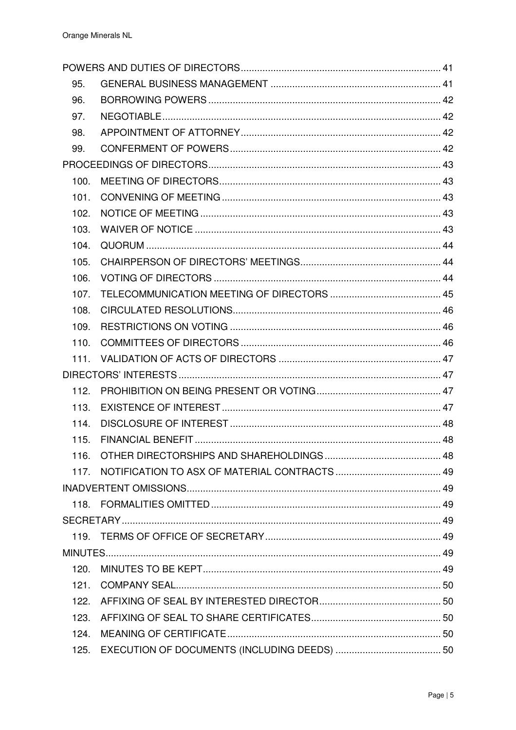| 95.              |  |
|------------------|--|
| 96.              |  |
| 97.              |  |
| 98.              |  |
| 99.              |  |
|                  |  |
| 100.             |  |
| 101.             |  |
| 102.             |  |
| 103.             |  |
| 104.             |  |
| 105.             |  |
| 106.             |  |
| 107.             |  |
| 108.             |  |
| 109.             |  |
| 110.             |  |
| 111.             |  |
|                  |  |
| 112.             |  |
| 113.             |  |
| 114.             |  |
| 115.             |  |
| 116.             |  |
| 117 <sub>1</sub> |  |
|                  |  |
| 118.             |  |
|                  |  |
|                  |  |
|                  |  |
| 120.             |  |
| 121.             |  |
| 122.             |  |
| 123.             |  |
| 124.             |  |
| 125.             |  |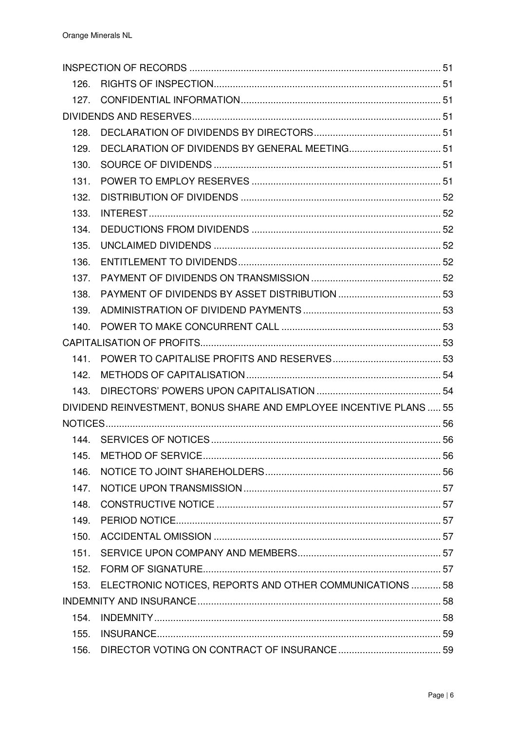| 126. |                                                                     |  |
|------|---------------------------------------------------------------------|--|
| 127. |                                                                     |  |
|      |                                                                     |  |
| 128. |                                                                     |  |
| 129. |                                                                     |  |
| 130. |                                                                     |  |
| 131. |                                                                     |  |
| 132. |                                                                     |  |
| 133. |                                                                     |  |
| 134. |                                                                     |  |
| 135. |                                                                     |  |
| 136. |                                                                     |  |
| 137. |                                                                     |  |
| 138. |                                                                     |  |
| 139. |                                                                     |  |
| 140. |                                                                     |  |
|      |                                                                     |  |
| 141. |                                                                     |  |
| 142. |                                                                     |  |
| 143. |                                                                     |  |
|      | DIVIDEND REINVESTMENT, BONUS SHARE AND EMPLOYEE INCENTIVE PLANS  55 |  |
|      |                                                                     |  |
|      |                                                                     |  |
| 145. |                                                                     |  |
| 146. |                                                                     |  |
| 147. |                                                                     |  |
| 148. |                                                                     |  |
| 149. |                                                                     |  |
| 150. |                                                                     |  |
| 151. |                                                                     |  |
| 152. |                                                                     |  |
| 153. | ELECTRONIC NOTICES, REPORTS AND OTHER COMMUNICATIONS  58            |  |
|      |                                                                     |  |
| 154. |                                                                     |  |
| 155. |                                                                     |  |
| 156. |                                                                     |  |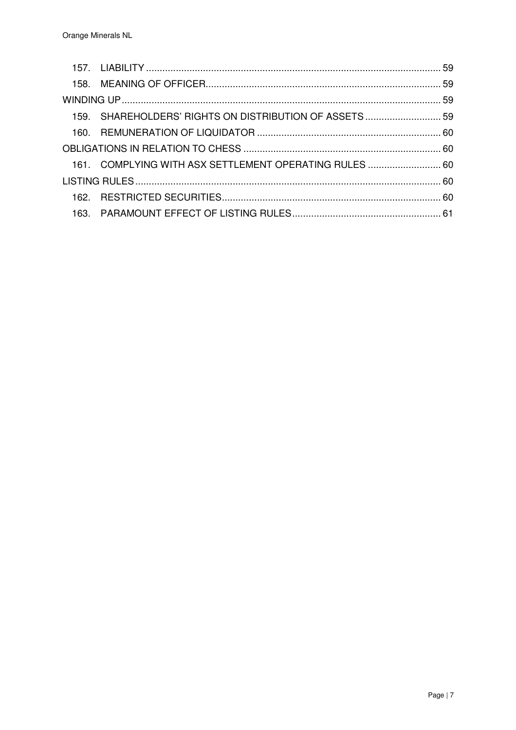| 159. SHAREHOLDERS' RIGHTS ON DISTRIBUTION OF ASSETS  59 |  |
|---------------------------------------------------------|--|
|                                                         |  |
|                                                         |  |
| 161. COMPLYING WITH ASX SETTLEMENT OPERATING RULES  60  |  |
|                                                         |  |
|                                                         |  |
|                                                         |  |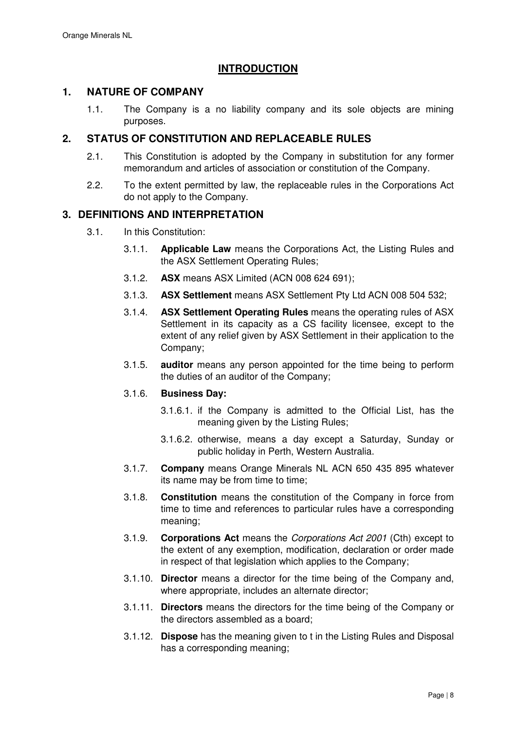# **INTRODUCTION**

# **1. NATURE OF COMPANY**

1.1. The Company is a no liability company and its sole objects are mining purposes.

# **2. STATUS OF CONSTITUTION AND REPLACEABLE RULES**

- 2.1. This Constitution is adopted by the Company in substitution for any former memorandum and articles of association or constitution of the Company.
- 2.2. To the extent permitted by law, the replaceable rules in the Corporations Act do not apply to the Company.

# **3. DEFINITIONS AND INTERPRETATION**

- 3.1. In this Constitution:
	- 3.1.1. **Applicable Law** means the Corporations Act, the Listing Rules and the ASX Settlement Operating Rules;
	- 3.1.2. **ASX** means ASX Limited (ACN 008 624 691);
	- 3.1.3. **ASX Settlement** means ASX Settlement Pty Ltd ACN 008 504 532;
	- 3.1.4. **ASX Settlement Operating Rules** means the operating rules of ASX Settlement in its capacity as a CS facility licensee, except to the extent of any relief given by ASX Settlement in their application to the Company;
	- 3.1.5. **auditor** means any person appointed for the time being to perform the duties of an auditor of the Company;

## 3.1.6. **Business Day:**

- 3.1.6.1. if the Company is admitted to the Official List, has the meaning given by the Listing Rules;
- 3.1.6.2. otherwise, means a day except a Saturday, Sunday or public holiday in Perth, Western Australia.
- 3.1.7. **Company** means Orange Minerals NL ACN 650 435 895 whatever its name may be from time to time;
- 3.1.8. **Constitution** means the constitution of the Company in force from time to time and references to particular rules have a corresponding meaning;
- 3.1.9. **Corporations Act** means the Corporations Act 2001 (Cth) except to the extent of any exemption, modification, declaration or order made in respect of that legislation which applies to the Company;
- 3.1.10. **Director** means a director for the time being of the Company and, where appropriate, includes an alternate director;
- 3.1.11. **Directors** means the directors for the time being of the Company or the directors assembled as a board;
- 3.1.12. **Dispose** has the meaning given to t in the Listing Rules and Disposal has a corresponding meaning;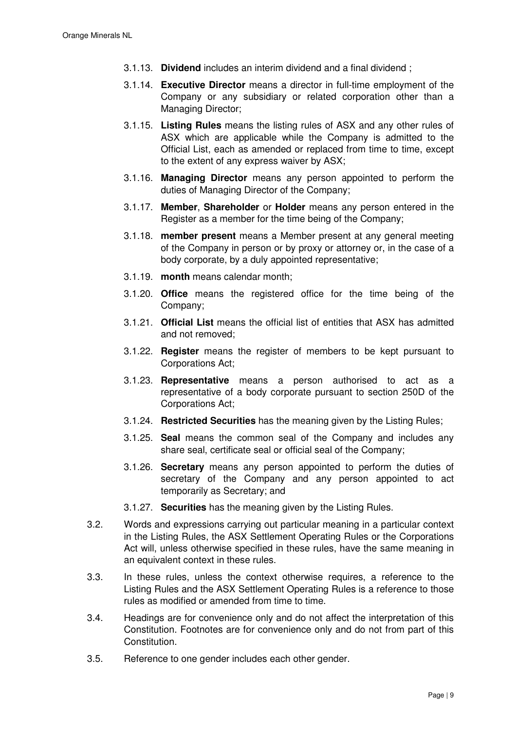- 3.1.13. **Dividend** includes an interim dividend and a final dividend ;
- 3.1.14. **Executive Director** means a director in full-time employment of the Company or any subsidiary or related corporation other than a Managing Director;
- 3.1.15. **Listing Rules** means the listing rules of ASX and any other rules of ASX which are applicable while the Company is admitted to the Official List, each as amended or replaced from time to time, except to the extent of any express waiver by ASX;
- 3.1.16. **Managing Director** means any person appointed to perform the duties of Managing Director of the Company;
- 3.1.17. **Member**, **Shareholder** or **Holder** means any person entered in the Register as a member for the time being of the Company;
- 3.1.18. **member present** means a Member present at any general meeting of the Company in person or by proxy or attorney or, in the case of a body corporate, by a duly appointed representative;
- 3.1.19. **month** means calendar month;
- 3.1.20. **Office** means the registered office for the time being of the Company;
- 3.1.21. **Official List** means the official list of entities that ASX has admitted and not removed;
- 3.1.22. **Register** means the register of members to be kept pursuant to Corporations Act;
- 3.1.23. **Representative** means a person authorised to act as a representative of a body corporate pursuant to section 250D of the Corporations Act;
- 3.1.24. **Restricted Securities** has the meaning given by the Listing Rules;
- 3.1.25. **Seal** means the common seal of the Company and includes any share seal, certificate seal or official seal of the Company;
- 3.1.26. **Secretary** means any person appointed to perform the duties of secretary of the Company and any person appointed to act temporarily as Secretary; and
- 3.1.27. **Securities** has the meaning given by the Listing Rules.
- 3.2. Words and expressions carrying out particular meaning in a particular context in the Listing Rules, the ASX Settlement Operating Rules or the Corporations Act will, unless otherwise specified in these rules, have the same meaning in an equivalent context in these rules.
- 3.3. In these rules, unless the context otherwise requires, a reference to the Listing Rules and the ASX Settlement Operating Rules is a reference to those rules as modified or amended from time to time.
- 3.4. Headings are for convenience only and do not affect the interpretation of this Constitution. Footnotes are for convenience only and do not from part of this Constitution.
- 3.5. Reference to one gender includes each other gender.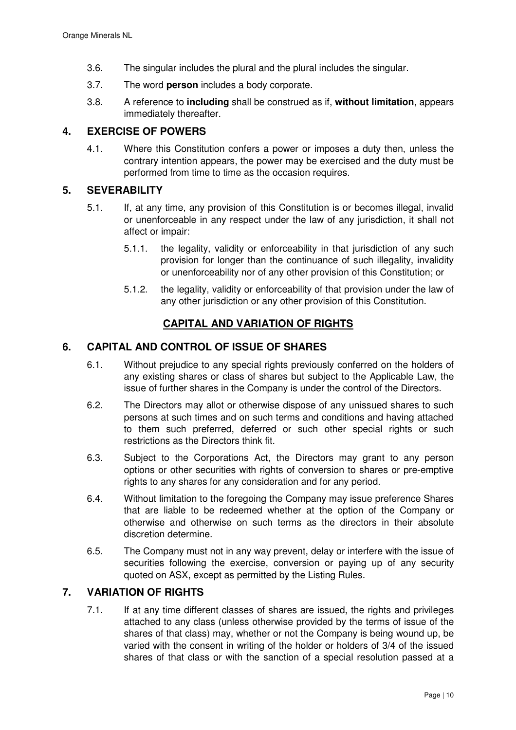- 3.6. The singular includes the plural and the plural includes the singular.
- 3.7. The word **person** includes a body corporate.
- 3.8. A reference to **including** shall be construed as if, **without limitation**, appears immediately thereafter.

# **4. EXERCISE OF POWERS**

4.1. Where this Constitution confers a power or imposes a duty then, unless the contrary intention appears, the power may be exercised and the duty must be performed from time to time as the occasion requires.

# **5. SEVERABILITY**

- 5.1. If, at any time, any provision of this Constitution is or becomes illegal, invalid or unenforceable in any respect under the law of any jurisdiction, it shall not affect or impair:
	- 5.1.1. the legality, validity or enforceability in that jurisdiction of any such provision for longer than the continuance of such illegality, invalidity or unenforceability nor of any other provision of this Constitution; or
	- 5.1.2. the legality, validity or enforceability of that provision under the law of any other jurisdiction or any other provision of this Constitution.

# **CAPITAL AND VARIATION OF RIGHTS**

## **6. CAPITAL AND CONTROL OF ISSUE OF SHARES**

- 6.1. Without prejudice to any special rights previously conferred on the holders of any existing shares or class of shares but subject to the Applicable Law, the issue of further shares in the Company is under the control of the Directors.
- 6.2. The Directors may allot or otherwise dispose of any unissued shares to such persons at such times and on such terms and conditions and having attached to them such preferred, deferred or such other special rights or such restrictions as the Directors think fit.
- 6.3. Subject to the Corporations Act, the Directors may grant to any person options or other securities with rights of conversion to shares or pre-emptive rights to any shares for any consideration and for any period.
- 6.4. Without limitation to the foregoing the Company may issue preference Shares that are liable to be redeemed whether at the option of the Company or otherwise and otherwise on such terms as the directors in their absolute discretion determine.
- 6.5. The Company must not in any way prevent, delay or interfere with the issue of securities following the exercise, conversion or paying up of any security quoted on ASX, except as permitted by the Listing Rules.

# **7. VARIATION OF RIGHTS**

7.1. If at any time different classes of shares are issued, the rights and privileges attached to any class (unless otherwise provided by the terms of issue of the shares of that class) may, whether or not the Company is being wound up, be varied with the consent in writing of the holder or holders of 3/4 of the issued shares of that class or with the sanction of a special resolution passed at a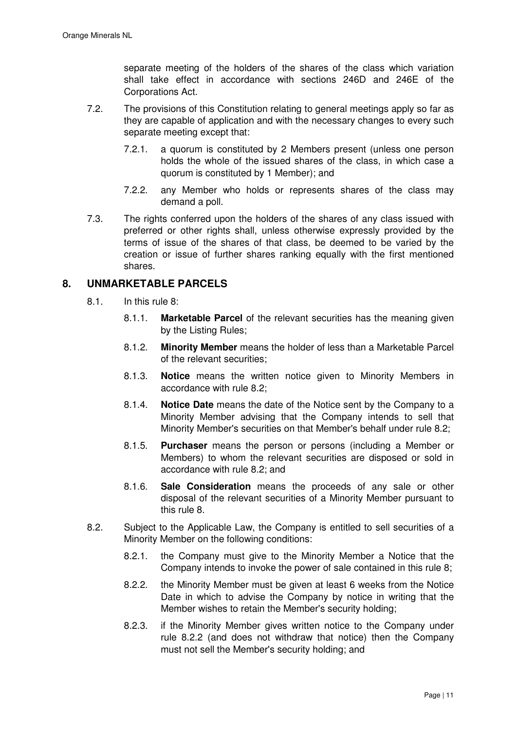separate meeting of the holders of the shares of the class which variation shall take effect in accordance with sections 246D and 246E of the Corporations Act.

- 7.2. The provisions of this Constitution relating to general meetings apply so far as they are capable of application and with the necessary changes to every such separate meeting except that:
	- 7.2.1. a quorum is constituted by 2 Members present (unless one person holds the whole of the issued shares of the class, in which case a quorum is constituted by 1 Member); and
	- 7.2.2. any Member who holds or represents shares of the class may demand a poll.
- 7.3. The rights conferred upon the holders of the shares of any class issued with preferred or other rights shall, unless otherwise expressly provided by the terms of issue of the shares of that class, be deemed to be varied by the creation or issue of further shares ranking equally with the first mentioned shares.

# **8. UNMARKETABLE PARCELS**

- 8.1. In this rule 8:
	- 8.1.1. **Marketable Parcel** of the relevant securities has the meaning given by the Listing Rules;
	- 8.1.2. **Minority Member** means the holder of less than a Marketable Parcel of the relevant securities;
	- 8.1.3. **Notice** means the written notice given to Minority Members in accordance with rule 8.2;
	- 8.1.4. **Notice Date** means the date of the Notice sent by the Company to a Minority Member advising that the Company intends to sell that Minority Member's securities on that Member's behalf under rule 8.2;
	- 8.1.5. **Purchaser** means the person or persons (including a Member or Members) to whom the relevant securities are disposed or sold in accordance with rule 8.2; and
	- 8.1.6. **Sale Consideration** means the proceeds of any sale or other disposal of the relevant securities of a Minority Member pursuant to this rule 8.
- 8.2. Subject to the Applicable Law, the Company is entitled to sell securities of a Minority Member on the following conditions:
	- 8.2.1. the Company must give to the Minority Member a Notice that the Company intends to invoke the power of sale contained in this rule 8;
	- 8.2.2. the Minority Member must be given at least 6 weeks from the Notice Date in which to advise the Company by notice in writing that the Member wishes to retain the Member's security holding;
	- 8.2.3. if the Minority Member gives written notice to the Company under rule 8.2.2 (and does not withdraw that notice) then the Company must not sell the Member's security holding; and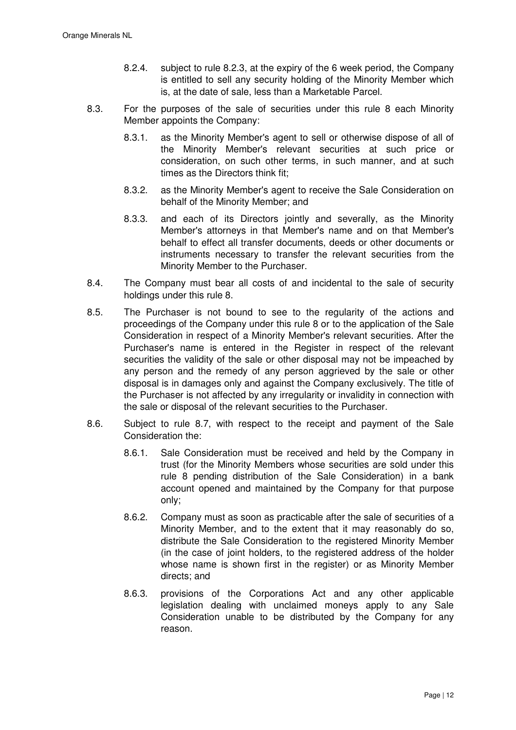- 8.2.4. subject to rule 8.2.3, at the expiry of the 6 week period, the Company is entitled to sell any security holding of the Minority Member which is, at the date of sale, less than a Marketable Parcel.
- 8.3. For the purposes of the sale of securities under this rule 8 each Minority Member appoints the Company:
	- 8.3.1. as the Minority Member's agent to sell or otherwise dispose of all of the Minority Member's relevant securities at such price or consideration, on such other terms, in such manner, and at such times as the Directors think fit;
	- 8.3.2. as the Minority Member's agent to receive the Sale Consideration on behalf of the Minority Member; and
	- 8.3.3. and each of its Directors jointly and severally, as the Minority Member's attorneys in that Member's name and on that Member's behalf to effect all transfer documents, deeds or other documents or instruments necessary to transfer the relevant securities from the Minority Member to the Purchaser.
- 8.4. The Company must bear all costs of and incidental to the sale of security holdings under this rule 8.
- 8.5. The Purchaser is not bound to see to the regularity of the actions and proceedings of the Company under this rule 8 or to the application of the Sale Consideration in respect of a Minority Member's relevant securities. After the Purchaser's name is entered in the Register in respect of the relevant securities the validity of the sale or other disposal may not be impeached by any person and the remedy of any person aggrieved by the sale or other disposal is in damages only and against the Company exclusively. The title of the Purchaser is not affected by any irregularity or invalidity in connection with the sale or disposal of the relevant securities to the Purchaser.
- 8.6. Subject to rule 8.7, with respect to the receipt and payment of the Sale Consideration the:
	- 8.6.1. Sale Consideration must be received and held by the Company in trust (for the Minority Members whose securities are sold under this rule 8 pending distribution of the Sale Consideration) in a bank account opened and maintained by the Company for that purpose only;
	- 8.6.2. Company must as soon as practicable after the sale of securities of a Minority Member, and to the extent that it may reasonably do so, distribute the Sale Consideration to the registered Minority Member (in the case of joint holders, to the registered address of the holder whose name is shown first in the register) or as Minority Member directs; and
	- 8.6.3. provisions of the Corporations Act and any other applicable legislation dealing with unclaimed moneys apply to any Sale Consideration unable to be distributed by the Company for any reason.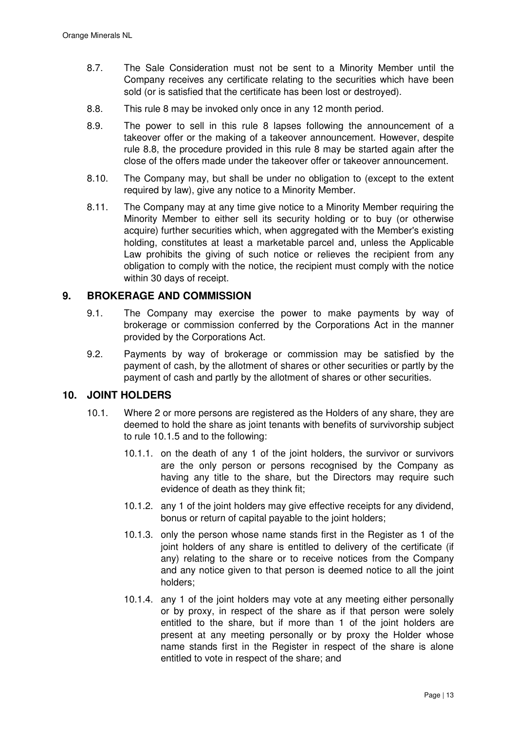- 8.7. The Sale Consideration must not be sent to a Minority Member until the Company receives any certificate relating to the securities which have been sold (or is satisfied that the certificate has been lost or destroyed).
- 8.8. This rule 8 may be invoked only once in any 12 month period.
- 8.9. The power to sell in this rule 8 lapses following the announcement of a takeover offer or the making of a takeover announcement. However, despite rule 8.8, the procedure provided in this rule 8 may be started again after the close of the offers made under the takeover offer or takeover announcement.
- 8.10. The Company may, but shall be under no obligation to (except to the extent required by law), give any notice to a Minority Member.
- 8.11. The Company may at any time give notice to a Minority Member requiring the Minority Member to either sell its security holding or to buy (or otherwise acquire) further securities which, when aggregated with the Member's existing holding, constitutes at least a marketable parcel and, unless the Applicable Law prohibits the giving of such notice or relieves the recipient from any obligation to comply with the notice, the recipient must comply with the notice within 30 days of receipt.

# **9. BROKERAGE AND COMMISSION**

- 9.1. The Company may exercise the power to make payments by way of brokerage or commission conferred by the Corporations Act in the manner provided by the Corporations Act.
- 9.2. Payments by way of brokerage or commission may be satisfied by the payment of cash, by the allotment of shares or other securities or partly by the payment of cash and partly by the allotment of shares or other securities.

### **10. JOINT HOLDERS**

- 10.1. Where 2 or more persons are registered as the Holders of any share, they are deemed to hold the share as joint tenants with benefits of survivorship subject to rule 10.1.5 and to the following:
	- 10.1.1. on the death of any 1 of the joint holders, the survivor or survivors are the only person or persons recognised by the Company as having any title to the share, but the Directors may require such evidence of death as they think fit;
	- 10.1.2. any 1 of the joint holders may give effective receipts for any dividend, bonus or return of capital payable to the joint holders;
	- 10.1.3. only the person whose name stands first in the Register as 1 of the joint holders of any share is entitled to delivery of the certificate (if any) relating to the share or to receive notices from the Company and any notice given to that person is deemed notice to all the joint holders;
	- 10.1.4. any 1 of the joint holders may vote at any meeting either personally or by proxy, in respect of the share as if that person were solely entitled to the share, but if more than 1 of the joint holders are present at any meeting personally or by proxy the Holder whose name stands first in the Register in respect of the share is alone entitled to vote in respect of the share; and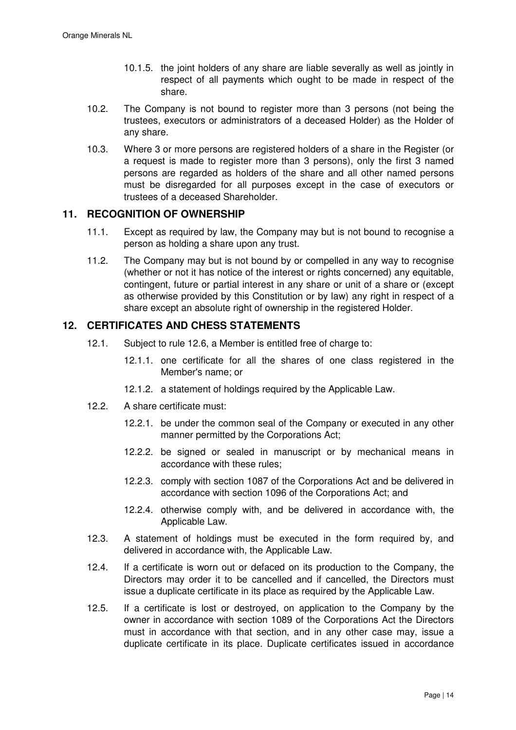- 10.1.5. the joint holders of any share are liable severally as well as jointly in respect of all payments which ought to be made in respect of the share.
- 10.2. The Company is not bound to register more than 3 persons (not being the trustees, executors or administrators of a deceased Holder) as the Holder of any share.
- 10.3. Where 3 or more persons are registered holders of a share in the Register (or a request is made to register more than 3 persons), only the first 3 named persons are regarded as holders of the share and all other named persons must be disregarded for all purposes except in the case of executors or trustees of a deceased Shareholder.

# **11. RECOGNITION OF OWNERSHIP**

- 11.1. Except as required by law, the Company may but is not bound to recognise a person as holding a share upon any trust.
- 11.2. The Company may but is not bound by or compelled in any way to recognise (whether or not it has notice of the interest or rights concerned) any equitable, contingent, future or partial interest in any share or unit of a share or (except as otherwise provided by this Constitution or by law) any right in respect of a share except an absolute right of ownership in the registered Holder.

# **12. CERTIFICATES AND CHESS STATEMENTS**

- 12.1. Subject to rule 12.6, a Member is entitled free of charge to:
	- 12.1.1. one certificate for all the shares of one class registered in the Member's name; or
	- 12.1.2. a statement of holdings required by the Applicable Law.
- 12.2. A share certificate must:
	- 12.2.1. be under the common seal of the Company or executed in any other manner permitted by the Corporations Act;
	- 12.2.2. be signed or sealed in manuscript or by mechanical means in accordance with these rules;
	- 12.2.3. comply with section 1087 of the Corporations Act and be delivered in accordance with section 1096 of the Corporations Act; and
	- 12.2.4. otherwise comply with, and be delivered in accordance with, the Applicable Law.
- 12.3. A statement of holdings must be executed in the form required by, and delivered in accordance with, the Applicable Law.
- 12.4. If a certificate is worn out or defaced on its production to the Company, the Directors may order it to be cancelled and if cancelled, the Directors must issue a duplicate certificate in its place as required by the Applicable Law.
- 12.5. If a certificate is lost or destroyed, on application to the Company by the owner in accordance with section 1089 of the Corporations Act the Directors must in accordance with that section, and in any other case may, issue a duplicate certificate in its place. Duplicate certificates issued in accordance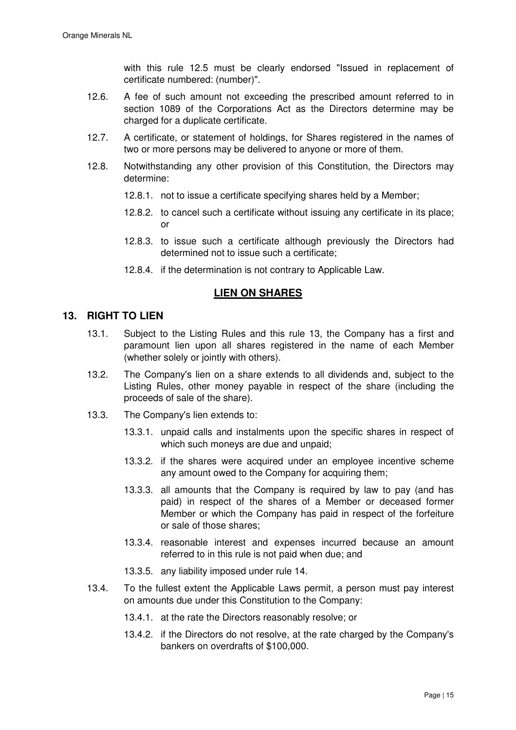with this rule 12.5 must be clearly endorsed "Issued in replacement of certificate numbered: (number)".

- 12.6. A fee of such amount not exceeding the prescribed amount referred to in section 1089 of the Corporations Act as the Directors determine may be charged for a duplicate certificate.
- 12.7. A certificate, or statement of holdings, for Shares registered in the names of two or more persons may be delivered to anyone or more of them.
- 12.8. Notwithstanding any other provision of this Constitution, the Directors may determine:
	- 12.8.1. not to issue a certificate specifying shares held by a Member;
	- 12.8.2. to cancel such a certificate without issuing any certificate in its place; or
	- 12.8.3. to issue such a certificate although previously the Directors had determined not to issue such a certificate;
	- 12.8.4. if the determination is not contrary to Applicable Law.

# **LIEN ON SHARES**

## **13. RIGHT TO LIEN**

- 13.1. Subject to the Listing Rules and this rule 13, the Company has a first and paramount lien upon all shares registered in the name of each Member (whether solely or jointly with others).
- 13.2. The Company's lien on a share extends to all dividends and, subject to the Listing Rules, other money payable in respect of the share (including the proceeds of sale of the share).
- 13.3. The Company's lien extends to:
	- 13.3.1. unpaid calls and instalments upon the specific shares in respect of which such moneys are due and unpaid;
	- 13.3.2. if the shares were acquired under an employee incentive scheme any amount owed to the Company for acquiring them;
	- 13.3.3. all amounts that the Company is required by law to pay (and has paid) in respect of the shares of a Member or deceased former Member or which the Company has paid in respect of the forfeiture or sale of those shares;
	- 13.3.4. reasonable interest and expenses incurred because an amount referred to in this rule is not paid when due; and
	- 13.3.5. any liability imposed under rule 14.
- 13.4. To the fullest extent the Applicable Laws permit, a person must pay interest on amounts due under this Constitution to the Company:
	- 13.4.1. at the rate the Directors reasonably resolve; or
	- 13.4.2. if the Directors do not resolve, at the rate charged by the Company's bankers on overdrafts of \$100,000.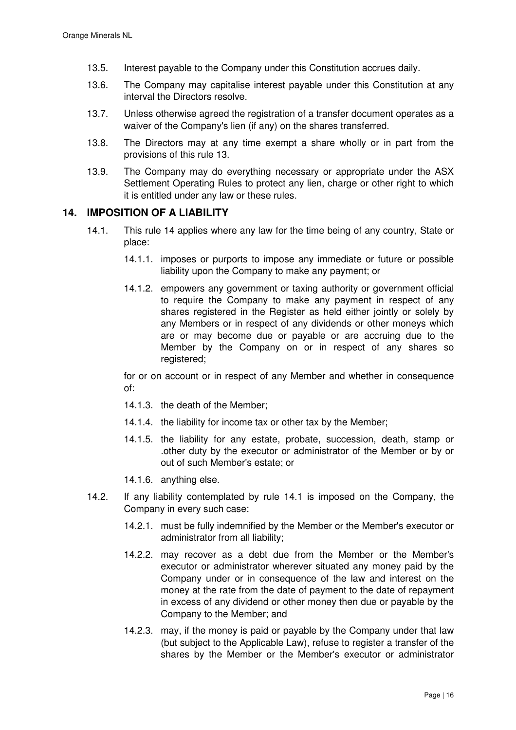- 13.5. Interest payable to the Company under this Constitution accrues daily.
- 13.6. The Company may capitalise interest payable under this Constitution at any interval the Directors resolve.
- 13.7. Unless otherwise agreed the registration of a transfer document operates as a waiver of the Company's lien (if any) on the shares transferred.
- 13.8. The Directors may at any time exempt a share wholly or in part from the provisions of this rule 13.
- 13.9. The Company may do everything necessary or appropriate under the ASX Settlement Operating Rules to protect any lien, charge or other right to which it is entitled under any law or these rules.

## **14. IMPOSITION OF A LIABILITY**

- 14.1. This rule 14 applies where any law for the time being of any country, State or place:
	- 14.1.1. imposes or purports to impose any immediate or future or possible liability upon the Company to make any payment; or
	- 14.1.2. empowers any government or taxing authority or government official to require the Company to make any payment in respect of any shares registered in the Register as held either jointly or solely by any Members or in respect of any dividends or other moneys which are or may become due or payable or are accruing due to the Member by the Company on or in respect of any shares so registered;

for or on account or in respect of any Member and whether in consequence of:

- 14.1.3. the death of the Member;
- 14.1.4. the liability for income tax or other tax by the Member;
- 14.1.5. the liability for any estate, probate, succession, death, stamp or .other duty by the executor or administrator of the Member or by or out of such Member's estate; or
- 14.1.6. anything else.
- 14.2. If any liability contemplated by rule 14.1 is imposed on the Company, the Company in every such case:
	- 14.2.1. must be fully indemnified by the Member or the Member's executor or administrator from all liability;
	- 14.2.2. may recover as a debt due from the Member or the Member's executor or administrator wherever situated any money paid by the Company under or in consequence of the law and interest on the money at the rate from the date of payment to the date of repayment in excess of any dividend or other money then due or payable by the Company to the Member; and
	- 14.2.3. may, if the money is paid or payable by the Company under that law (but subject to the Applicable Law), refuse to register a transfer of the shares by the Member or the Member's executor or administrator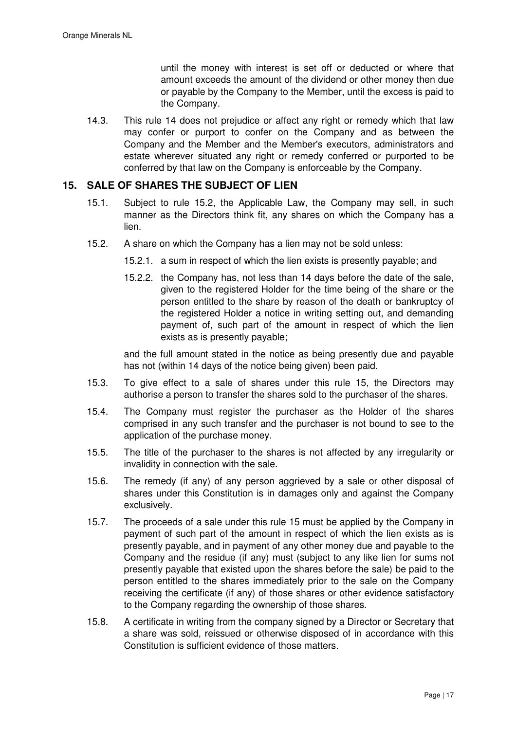until the money with interest is set off or deducted or where that amount exceeds the amount of the dividend or other money then due or payable by the Company to the Member, until the excess is paid to the Company.

14.3. This rule 14 does not prejudice or affect any right or remedy which that law may confer or purport to confer on the Company and as between the Company and the Member and the Member's executors, administrators and estate wherever situated any right or remedy conferred or purported to be conferred by that law on the Company is enforceable by the Company.

# **15. SALE OF SHARES THE SUBJECT OF LIEN**

- 15.1. Subject to rule 15.2, the Applicable Law, the Company may sell, in such manner as the Directors think fit, any shares on which the Company has a lien.
- 15.2. A share on which the Company has a lien may not be sold unless:
	- 15.2.1. a sum in respect of which the lien exists is presently payable; and
	- 15.2.2. the Company has, not less than 14 days before the date of the sale, given to the registered Holder for the time being of the share or the person entitled to the share by reason of the death or bankruptcy of the registered Holder a notice in writing setting out, and demanding payment of, such part of the amount in respect of which the lien exists as is presently payable;

and the full amount stated in the notice as being presently due and payable has not (within 14 days of the notice being given) been paid.

- 15.3. To give effect to a sale of shares under this rule 15, the Directors may authorise a person to transfer the shares sold to the purchaser of the shares.
- 15.4. The Company must register the purchaser as the Holder of the shares comprised in any such transfer and the purchaser is not bound to see to the application of the purchase money.
- 15.5. The title of the purchaser to the shares is not affected by any irregularity or invalidity in connection with the sale.
- 15.6. The remedy (if any) of any person aggrieved by a sale or other disposal of shares under this Constitution is in damages only and against the Company exclusively.
- 15.7. The proceeds of a sale under this rule 15 must be applied by the Company in payment of such part of the amount in respect of which the lien exists as is presently payable, and in payment of any other money due and payable to the Company and the residue (if any) must (subject to any like lien for sums not presently payable that existed upon the shares before the sale) be paid to the person entitled to the shares immediately prior to the sale on the Company receiving the certificate (if any) of those shares or other evidence satisfactory to the Company regarding the ownership of those shares.
- 15.8. A certificate in writing from the company signed by a Director or Secretary that a share was sold, reissued or otherwise disposed of in accordance with this Constitution is sufficient evidence of those matters.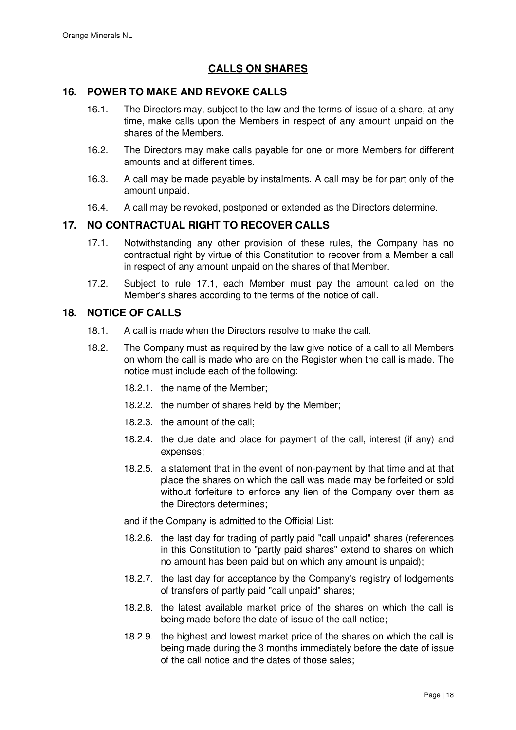# **CALLS ON SHARES**

# **16. POWER TO MAKE AND REVOKE CALLS**

- 16.1. The Directors may, subject to the law and the terms of issue of a share, at any time, make calls upon the Members in respect of any amount unpaid on the shares of the Members.
- 16.2. The Directors may make calls payable for one or more Members for different amounts and at different times.
- 16.3. A call may be made payable by instalments. A call may be for part only of the amount unpaid.
- 16.4. A call may be revoked, postponed or extended as the Directors determine.

## **17. NO CONTRACTUAL RIGHT TO RECOVER CALLS**

- 17.1. Notwithstanding any other provision of these rules, the Company has no contractual right by virtue of this Constitution to recover from a Member a call in respect of any amount unpaid on the shares of that Member.
- 17.2. Subject to rule 17.1, each Member must pay the amount called on the Member's shares according to the terms of the notice of call.

### **18. NOTICE OF CALLS**

- 18.1. A call is made when the Directors resolve to make the call.
- 18.2. The Company must as required by the law give notice of a call to all Members on whom the call is made who are on the Register when the call is made. The notice must include each of the following:
	- 18.2.1. the name of the Member;
	- 18.2.2. the number of shares held by the Member;
	- 18.2.3. the amount of the call;
	- 18.2.4. the due date and place for payment of the call, interest (if any) and expenses;
	- 18.2.5. a statement that in the event of non-payment by that time and at that place the shares on which the call was made may be forfeited or sold without forfeiture to enforce any lien of the Company over them as the Directors determines;

and if the Company is admitted to the Official List:

- 18.2.6. the last day for trading of partly paid "call unpaid" shares (references in this Constitution to "partly paid shares" extend to shares on which no amount has been paid but on which any amount is unpaid);
- 18.2.7. the last day for acceptance by the Company's registry of lodgements of transfers of partly paid "call unpaid" shares;
- 18.2.8. the latest available market price of the shares on which the call is being made before the date of issue of the call notice;
- 18.2.9. the highest and lowest market price of the shares on which the call is being made during the 3 months immediately before the date of issue of the call notice and the dates of those sales;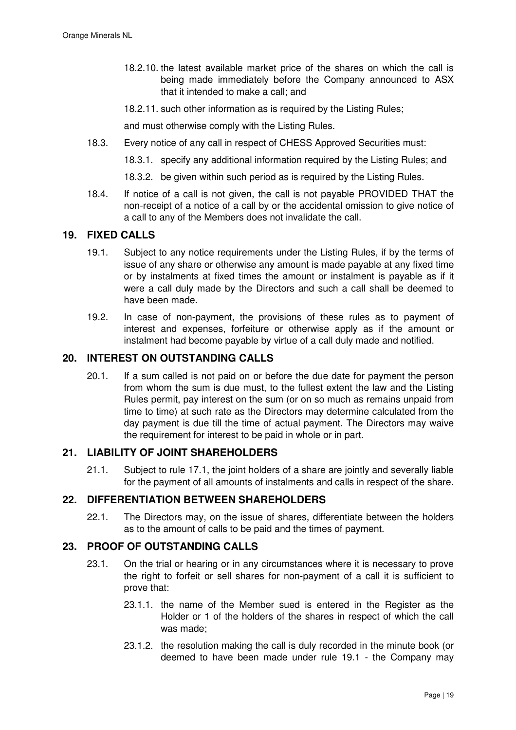- 18.2.10. the latest available market price of the shares on which the call is being made immediately before the Company announced to ASX that it intended to make a call; and
- 18.2.11. such other information as is required by the Listing Rules;

and must otherwise comply with the Listing Rules.

- 18.3. Every notice of any call in respect of CHESS Approved Securities must:
	- 18.3.1. specify any additional information required by the Listing Rules; and
	- 18.3.2. be given within such period as is required by the Listing Rules.
- 18.4. If notice of a call is not given, the call is not payable PROVIDED THAT the non-receipt of a notice of a call by or the accidental omission to give notice of a call to any of the Members does not invalidate the call.

# **19. FIXED CALLS**

- 19.1. Subject to any notice requirements under the Listing Rules, if by the terms of issue of any share or otherwise any amount is made payable at any fixed time or by instalments at fixed times the amount or instalment is payable as if it were a call duly made by the Directors and such a call shall be deemed to have been made.
- 19.2. In case of non-payment, the provisions of these rules as to payment of interest and expenses, forfeiture or otherwise apply as if the amount or instalment had become payable by virtue of a call duly made and notified.

## **20. INTEREST ON OUTSTANDING CALLS**

20.1. If a sum called is not paid on or before the due date for payment the person from whom the sum is due must, to the fullest extent the law and the Listing Rules permit, pay interest on the sum (or on so much as remains unpaid from time to time) at such rate as the Directors may determine calculated from the day payment is due till the time of actual payment. The Directors may waive the requirement for interest to be paid in whole or in part.

# **21. LIABILITY OF JOINT SHAREHOLDERS**

21.1. Subject to rule 17.1, the joint holders of a share are jointly and severally liable for the payment of all amounts of instalments and calls in respect of the share.

# 22. DIFFERENTIATION BETWEEN SHAREHOLDERS

22.1. The Directors may, on the issue of shares, differentiate between the holders as to the amount of calls to be paid and the times of payment.

# **23. PROOF OF OUTSTANDING CALLS**

- 23.1. On the trial or hearing or in any circumstances where it is necessary to prove the right to forfeit or sell shares for non-payment of a call it is sufficient to prove that:
	- 23.1.1. the name of the Member sued is entered in the Register as the Holder or 1 of the holders of the shares in respect of which the call was made;
	- 23.1.2. the resolution making the call is duly recorded in the minute book (or deemed to have been made under rule 19.1 - the Company may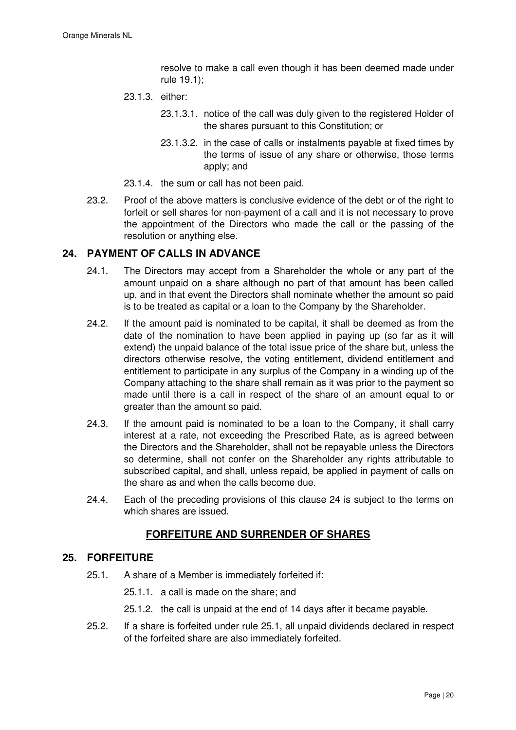resolve to make a call even though it has been deemed made under rule 19.1);

- 23.1.3. either:
	- 23.1.3.1. notice of the call was duly given to the registered Holder of the shares pursuant to this Constitution; or
	- 23.1.3.2. in the case of calls or instalments payable at fixed times by the terms of issue of any share or otherwise, those terms apply; and
- 23.1.4. the sum or call has not been paid.
- 23.2. Proof of the above matters is conclusive evidence of the debt or of the right to forfeit or sell shares for non-payment of a call and it is not necessary to prove the appointment of the Directors who made the call or the passing of the resolution or anything else.

## **24. PAYMENT OF CALLS IN ADVANCE**

- 24.1. The Directors may accept from a Shareholder the whole or any part of the amount unpaid on a share although no part of that amount has been called up, and in that event the Directors shall nominate whether the amount so paid is to be treated as capital or a loan to the Company by the Shareholder.
- 24.2. If the amount paid is nominated to be capital, it shall be deemed as from the date of the nomination to have been applied in paying up (so far as it will extend) the unpaid balance of the total issue price of the share but, unless the directors otherwise resolve, the voting entitlement, dividend entitlement and entitlement to participate in any surplus of the Company in a winding up of the Company attaching to the share shall remain as it was prior to the payment so made until there is a call in respect of the share of an amount equal to or greater than the amount so paid.
- 24.3. If the amount paid is nominated to be a loan to the Company, it shall carry interest at a rate, not exceeding the Prescribed Rate, as is agreed between the Directors and the Shareholder, shall not be repayable unless the Directors so determine, shall not confer on the Shareholder any rights attributable to subscribed capital, and shall, unless repaid, be applied in payment of calls on the share as and when the calls become due.
- 24.4. Each of the preceding provisions of this clause 24 is subject to the terms on which shares are issued.

# **FORFEITURE AND SURRENDER OF SHARES**

### **25. FORFEITURE**

- 25.1. A share of a Member is immediately forfeited if:
	- 25.1.1. a call is made on the share; and
	- 25.1.2. the call is unpaid at the end of 14 days after it became payable.
- 25.2. If a share is forfeited under rule 25.1, all unpaid dividends declared in respect of the forfeited share are also immediately forfeited.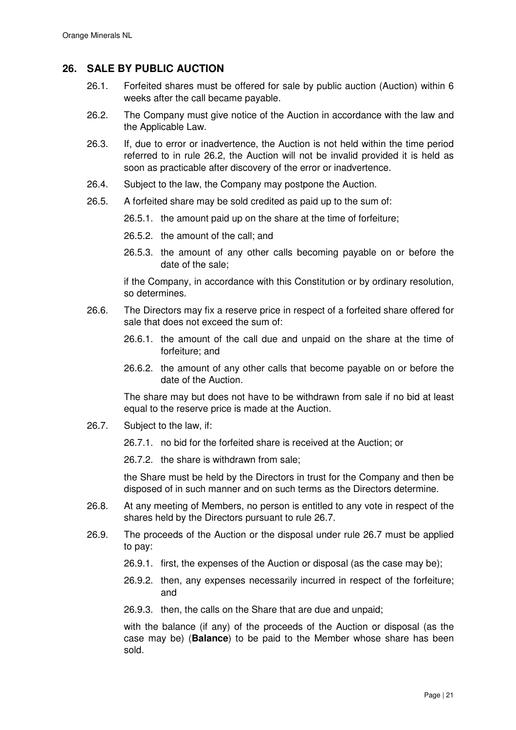# **26. SALE BY PUBLIC AUCTION**

- 26.1. Forfeited shares must be offered for sale by public auction (Auction) within 6 weeks after the call became payable.
- 26.2. The Company must give notice of the Auction in accordance with the law and the Applicable Law.
- 26.3. If, due to error or inadvertence, the Auction is not held within the time period referred to in rule 26.2, the Auction will not be invalid provided it is held as soon as practicable after discovery of the error or inadvertence.
- 26.4. Subject to the law, the Company may postpone the Auction.
- 26.5. A forfeited share may be sold credited as paid up to the sum of:
	- 26.5.1. the amount paid up on the share at the time of forfeiture;
	- 26.5.2. the amount of the call; and
	- 26.5.3. the amount of any other calls becoming payable on or before the date of the sale;

if the Company, in accordance with this Constitution or by ordinary resolution, so determines.

- 26.6. The Directors may fix a reserve price in respect of a forfeited share offered for sale that does not exceed the sum of:
	- 26.6.1. the amount of the call due and unpaid on the share at the time of forfeiture; and
	- 26.6.2. the amount of any other calls that become payable on or before the date of the Auction.

The share may but does not have to be withdrawn from sale if no bid at least equal to the reserve price is made at the Auction.

- 26.7. Subject to the law, if:
	- 26.7.1. no bid for the forfeited share is received at the Auction; or

26.7.2. the share is withdrawn from sale;

the Share must be held by the Directors in trust for the Company and then be disposed of in such manner and on such terms as the Directors determine.

- 26.8. At any meeting of Members, no person is entitled to any vote in respect of the shares held by the Directors pursuant to rule 26.7.
- 26.9. The proceeds of the Auction or the disposal under rule 26.7 must be applied to pay:
	- 26.9.1. first, the expenses of the Auction or disposal (as the case may be);
	- 26.9.2. then, any expenses necessarily incurred in respect of the forfeiture; and
	- 26.9.3. then, the calls on the Share that are due and unpaid;

with the balance (if any) of the proceeds of the Auction or disposal (as the case may be) (**Balance**) to be paid to the Member whose share has been sold.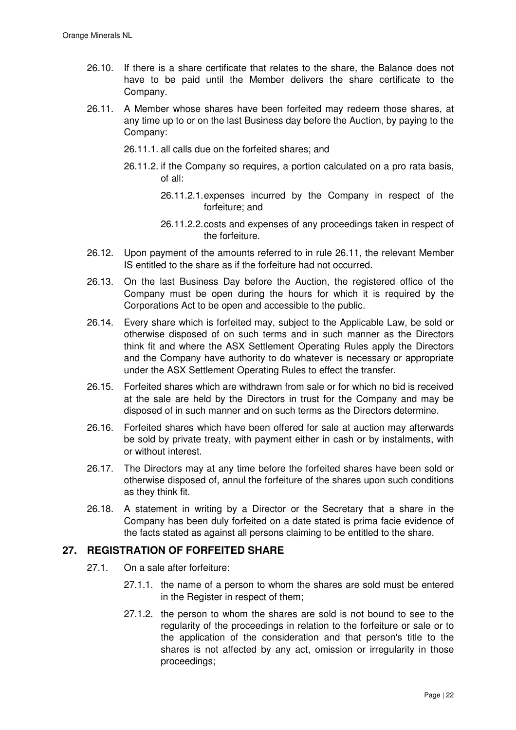- 26.10. If there is a share certificate that relates to the share, the Balance does not have to be paid until the Member delivers the share certificate to the Company.
- 26.11. A Member whose shares have been forfeited may redeem those shares, at any time up to or on the last Business day before the Auction, by paying to the Company:
	- 26.11.1. all calls due on the forfeited shares; and
	- 26.11.2. if the Company so requires, a portion calculated on a pro rata basis, of all:
		- 26.11.2.1. expenses incurred by the Company in respect of the forfeiture; and
		- 26.11.2.2. costs and expenses of any proceedings taken in respect of the forfeiture.
- 26.12. Upon payment of the amounts referred to in rule 26.11, the relevant Member IS entitled to the share as if the forfeiture had not occurred.
- 26.13. On the last Business Day before the Auction, the registered office of the Company must be open during the hours for which it is required by the Corporations Act to be open and accessible to the public.
- 26.14. Every share which is forfeited may, subject to the Applicable Law, be sold or otherwise disposed of on such terms and in such manner as the Directors think fit and where the ASX Settlement Operating Rules apply the Directors and the Company have authority to do whatever is necessary or appropriate under the ASX Settlement Operating Rules to effect the transfer.
- 26.15. Forfeited shares which are withdrawn from sale or for which no bid is received at the sale are held by the Directors in trust for the Company and may be disposed of in such manner and on such terms as the Directors determine.
- 26.16. Forfeited shares which have been offered for sale at auction may afterwards be sold by private treaty, with payment either in cash or by instalments, with or without interest.
- 26.17. The Directors may at any time before the forfeited shares have been sold or otherwise disposed of, annul the forfeiture of the shares upon such conditions as they think fit.
- 26.18. A statement in writing by a Director or the Secretary that a share in the Company has been duly forfeited on a date stated is prima facie evidence of the facts stated as against all persons claiming to be entitled to the share.

## **27. REGISTRATION OF FORFEITED SHARE**

- 27.1. On a sale after forfeiture:
	- 27.1.1. the name of a person to whom the shares are sold must be entered in the Register in respect of them;
	- 27.1.2. the person to whom the shares are sold is not bound to see to the regularity of the proceedings in relation to the forfeiture or sale or to the application of the consideration and that person's title to the shares is not affected by any act, omission or irregularity in those proceedings;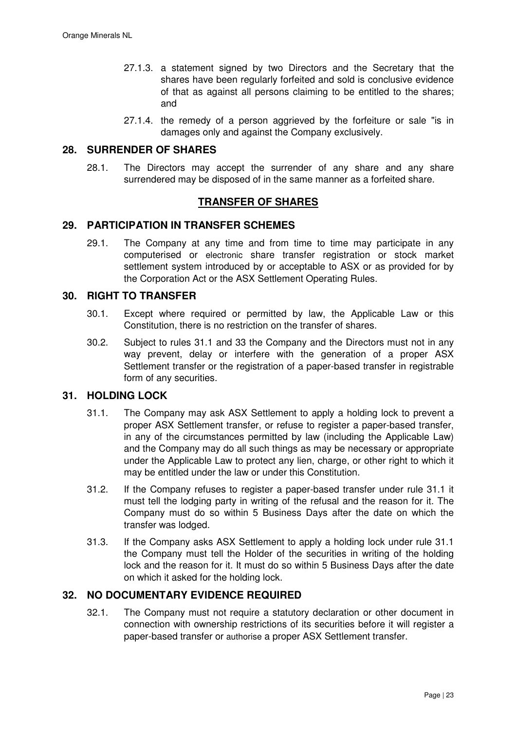- 27.1.3. a statement signed by two Directors and the Secretary that the shares have been regularly forfeited and sold is conclusive evidence of that as against all persons claiming to be entitled to the shares; and
- 27.1.4. the remedy of a person aggrieved by the forfeiture or sale "is in damages only and against the Company exclusively.

### **28. SURRENDER OF SHARES**

28.1. The Directors may accept the surrender of any share and any share surrendered may be disposed of in the same manner as a forfeited share.

## **TRANSFER OF SHARES**

## **29. PARTICIPATION IN TRANSFER SCHEMES**

29.1. The Company at any time and from time to time may participate in any computerised or electronic share transfer registration or stock market settlement system introduced by or acceptable to ASX or as provided for by the Corporation Act or the ASX Settlement Operating Rules.

# **30. RIGHT TO TRANSFER**

- 30.1. Except where required or permitted by law, the Applicable Law or this Constitution, there is no restriction on the transfer of shares.
- 30.2. Subject to rules 31.1 and 33 the Company and the Directors must not in any way prevent, delay or interfere with the generation of a proper ASX Settlement transfer or the registration of a paper-based transfer in registrable form of any securities.

## **31. HOLDING LOCK**

- 31.1. The Company may ask ASX Settlement to apply a holding lock to prevent a proper ASX Settlement transfer, or refuse to register a paper-based transfer, in any of the circumstances permitted by law (including the Applicable Law) and the Company may do all such things as may be necessary or appropriate under the Applicable Law to protect any lien, charge, or other right to which it may be entitled under the law or under this Constitution.
- 31.2. If the Company refuses to register a paper-based transfer under rule 31.1 it must tell the lodging party in writing of the refusal and the reason for it. The Company must do so within 5 Business Days after the date on which the transfer was lodged.
- 31.3. If the Company asks ASX Settlement to apply a holding lock under rule 31.1 the Company must tell the Holder of the securities in writing of the holding lock and the reason for it. It must do so within 5 Business Days after the date on which it asked for the holding lock.

### **32. NO DOCUMENTARY EVIDENCE REQUIRED**

32.1. The Company must not require a statutory declaration or other document in connection with ownership restrictions of its securities before it will register a paper-based transfer or authorise a proper ASX Settlement transfer.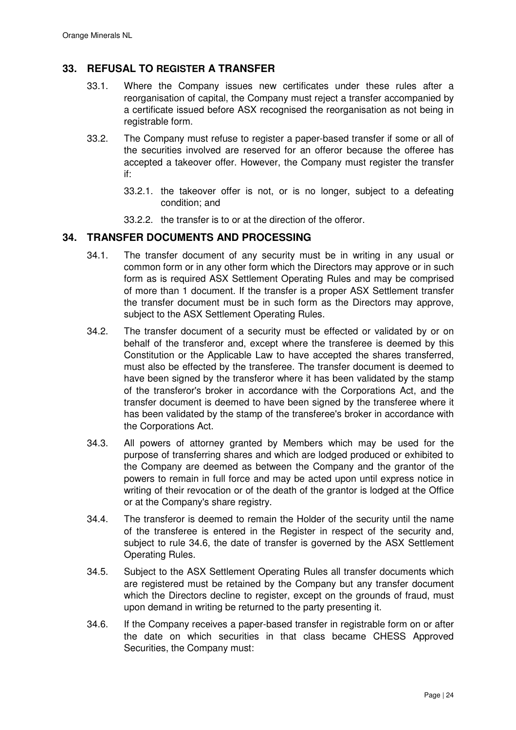# **33. REFUSAL TO REGISTER A TRANSFER**

- 33.1. Where the Company issues new certificates under these rules after a reorganisation of capital, the Company must reject a transfer accompanied by a certificate issued before ASX recognised the reorganisation as not being in registrable form.
- 33.2. The Company must refuse to register a paper-based transfer if some or all of the securities involved are reserved for an offeror because the offeree has accepted a takeover offer. However, the Company must register the transfer if:
	- 33.2.1. the takeover offer is not, or is no longer, subject to a defeating condition; and
	- 33.2.2. the transfer is to or at the direction of the offeror.

## **34. TRANSFER DOCUMENTS AND PROCESSING**

- 34.1. The transfer document of any security must be in writing in any usual or common form or in any other form which the Directors may approve or in such form as is required ASX Settlement Operating Rules and may be comprised of more than 1 document. If the transfer is a proper ASX Settlement transfer the transfer document must be in such form as the Directors may approve, subject to the ASX Settlement Operating Rules.
- 34.2. The transfer document of a security must be effected or validated by or on behalf of the transferor and, except where the transferee is deemed by this Constitution or the Applicable Law to have accepted the shares transferred, must also be effected by the transferee. The transfer document is deemed to have been signed by the transferor where it has been validated by the stamp of the transferor's broker in accordance with the Corporations Act, and the transfer document is deemed to have been signed by the transferee where it has been validated by the stamp of the transferee's broker in accordance with the Corporations Act.
- 34.3. All powers of attorney granted by Members which may be used for the purpose of transferring shares and which are lodged produced or exhibited to the Company are deemed as between the Company and the grantor of the powers to remain in full force and may be acted upon until express notice in writing of their revocation or of the death of the grantor is lodged at the Office or at the Company's share registry.
- 34.4. The transferor is deemed to remain the Holder of the security until the name of the transferee is entered in the Register in respect of the security and, subject to rule 34.6, the date of transfer is governed by the ASX Settlement Operating Rules.
- 34.5. Subject to the ASX Settlement Operating Rules all transfer documents which are registered must be retained by the Company but any transfer document which the Directors decline to register, except on the grounds of fraud, must upon demand in writing be returned to the party presenting it.
- 34.6. If the Company receives a paper-based transfer in registrable form on or after the date on which securities in that class became CHESS Approved Securities, the Company must: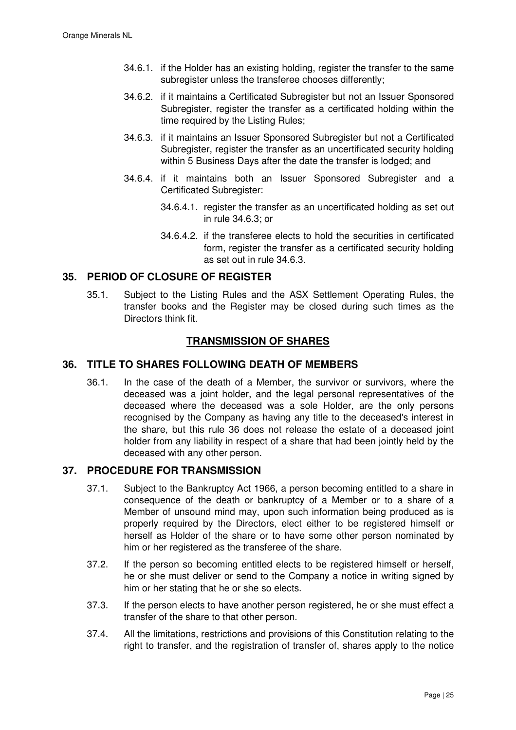- 34.6.1. if the Holder has an existing holding, register the transfer to the same subregister unless the transferee chooses differently;
- 34.6.2. if it maintains a Certificated Subregister but not an Issuer Sponsored Subregister, register the transfer as a certificated holding within the time required by the Listing Rules;
- 34.6.3. if it maintains an Issuer Sponsored Subregister but not a Certificated Subregister, register the transfer as an uncertificated security holding within 5 Business Days after the date the transfer is lodged; and
- 34.6.4. if it maintains both an Issuer Sponsored Subregister and a Certificated Subregister:
	- 34.6.4.1. register the transfer as an uncertificated holding as set out in rule 34.6.3; or
	- 34.6.4.2. if the transferee elects to hold the securities in certificated form, register the transfer as a certificated security holding as set out in rule 34.6.3.

# **35. PERIOD OF CLOSURE OF REGISTER**

35.1. Subject to the Listing Rules and the ASX Settlement Operating Rules, the transfer books and the Register may be closed during such times as the Directors think fit.

# **TRANSMISSION OF SHARES**

## **36. TITLE TO SHARES FOLLOWING DEATH OF MEMBERS**

36.1. In the case of the death of a Member, the survivor or survivors, where the deceased was a joint holder, and the legal personal representatives of the deceased where the deceased was a sole Holder, are the only persons recognised by the Company as having any title to the deceased's interest in the share, but this rule 36 does not release the estate of a deceased joint holder from any liability in respect of a share that had been jointly held by the deceased with any other person.

## **37. PROCEDURE FOR TRANSMISSION**

- 37.1. Subject to the Bankruptcy Act 1966, a person becoming entitled to a share in consequence of the death or bankruptcy of a Member or to a share of a Member of unsound mind may, upon such information being produced as is properly required by the Directors, elect either to be registered himself or herself as Holder of the share or to have some other person nominated by him or her registered as the transferee of the share.
- 37.2. If the person so becoming entitled elects to be registered himself or herself, he or she must deliver or send to the Company a notice in writing signed by him or her stating that he or she so elects.
- 37.3. If the person elects to have another person registered, he or she must effect a transfer of the share to that other person.
- 37.4. All the limitations, restrictions and provisions of this Constitution relating to the right to transfer, and the registration of transfer of, shares apply to the notice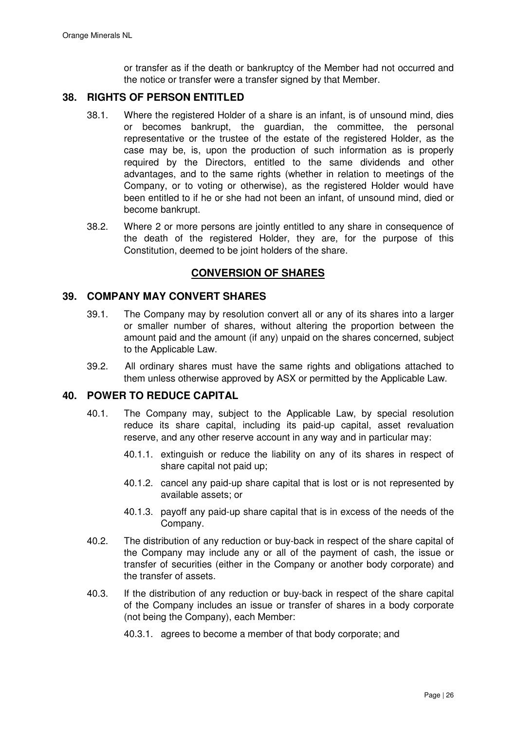or transfer as if the death or bankruptcy of the Member had not occurred and the notice or transfer were a transfer signed by that Member.

## **38. RIGHTS OF PERSON ENTITLED**

- 38.1. Where the registered Holder of a share is an infant, is of unsound mind, dies or becomes bankrupt, the guardian, the committee, the personal representative or the trustee of the estate of the registered Holder, as the case may be, is, upon the production of such information as is properly required by the Directors, entitled to the same dividends and other advantages, and to the same rights (whether in relation to meetings of the Company, or to voting or otherwise), as the registered Holder would have been entitled to if he or she had not been an infant, of unsound mind, died or become bankrupt.
- 38.2. Where 2 or more persons are jointly entitled to any share in consequence of the death of the registered Holder, they are, for the purpose of this Constitution, deemed to be joint holders of the share.

## **CONVERSION OF SHARES**

### **39. COMPANY MAY CONVERT SHARES**

- 39.1. The Company may by resolution convert all or any of its shares into a larger or smaller number of shares, without altering the proportion between the amount paid and the amount (if any) unpaid on the shares concerned, subject to the Applicable Law.
- 39.2. All ordinary shares must have the same rights and obligations attached to them unless otherwise approved by ASX or permitted by the Applicable Law.

# **40. POWER TO REDUCE CAPITAL**

- 40.1. The Company may, subject to the Applicable Law, by special resolution reduce its share capital, including its paid-up capital, asset revaluation reserve, and any other reserve account in any way and in particular may:
	- 40.1.1. extinguish or reduce the liability on any of its shares in respect of share capital not paid up;
	- 40.1.2. cancel any paid-up share capital that is lost or is not represented by available assets; or
	- 40.1.3. payoff any paid-up share capital that is in excess of the needs of the Company.
- 40.2. The distribution of any reduction or buy-back in respect of the share capital of the Company may include any or all of the payment of cash, the issue or transfer of securities (either in the Company or another body corporate) and the transfer of assets.
- 40.3. If the distribution of any reduction or buy-back in respect of the share capital of the Company includes an issue or transfer of shares in a body corporate (not being the Company), each Member:

40.3.1. agrees to become a member of that body corporate; and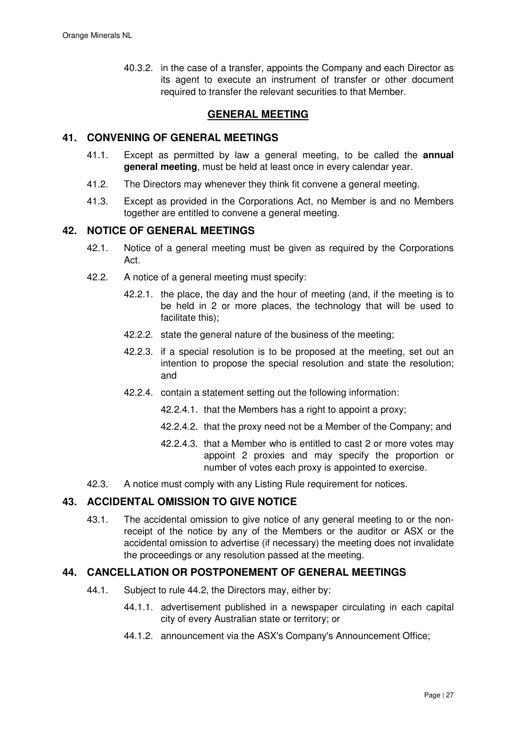40.3.2. in the case of a transfer, appoints the Company and each Director as its agent to execute an instrument of transfer or other document required to transfer the relevant securities to that Member.

# **GENERAL MEETING**

# **41. CONVENING OF GENERAL MEETINGS**

- 41.1. Except as permitted by law a general meeting, to be called the **annual general meeting**, must be held at least once in every calendar year.
- 41.2. The Directors may whenever they think fit convene a general meeting.
- 41.3. Except as provided in the Corporations Act, no Member is and no Members together are entitled to convene a general meeting.

## **42. NOTICE OF GENERAL MEETINGS**

- 42.1. Notice of a general meeting must be given as required by the Corporations Act.
- 42.2. A notice of a general meeting must specify:
	- 42.2.1. the place, the day and the hour of meeting (and, if the meeting is to be held in 2 or more places, the technology that will be used to facilitate this);
	- 42.2.2. state the general nature of the business of the meeting;
	- 42.2.3. if a special resolution is to be proposed at the meeting, set out an intention to propose the special resolution and state the resolution; and
	- 42.2.4. contain a statement setting out the following information:
		- 42.2.4.1. that the Members has a right to appoint a proxy;
		- 42.2.4.2. that the proxy need not be a Member of the Company; and
		- 42.2.4.3. that a Member who is entitled to cast 2 or more votes may appoint 2 proxies and may specify the proportion or number of votes each proxy is appointed to exercise.
- 42.3. A notice must comply with any Listing Rule requirement for notices.

# **43. ACCIDENTAL OMISSION TO GIVE NOTICE**

43.1. The accidental omission to give notice of any general meeting to or the nonreceipt of the notice by any of the Members or the auditor or ASX or the accidental omission to advertise (if necessary) the meeting does not invalidate the proceedings or any resolution passed at the meeting.

### **44. CANCELLATION OR POSTPONEMENT OF GENERAL MEETINGS**

- 44.1. Subject to rule 44.2, the Directors may, either by:
	- 44.1.1. advertisement published in a newspaper circulating in each capital city of every Australian state or territory; or
	- 44.1.2. announcement via the ASX's Company's Announcement Office;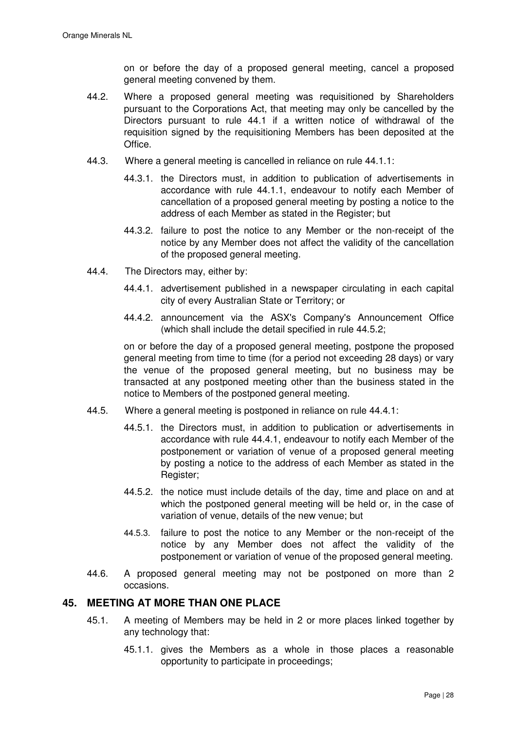on or before the day of a proposed general meeting, cancel a proposed general meeting convened by them.

- 44.2. Where a proposed general meeting was requisitioned by Shareholders pursuant to the Corporations Act, that meeting may only be cancelled by the Directors pursuant to rule 44.1 if a written notice of withdrawal of the requisition signed by the requisitioning Members has been deposited at the Office.
- 44.3. Where a general meeting is cancelled in reliance on rule 44.1.1:
	- 44.3.1. the Directors must, in addition to publication of advertisements in accordance with rule 44.1.1, endeavour to notify each Member of cancellation of a proposed general meeting by posting a notice to the address of each Member as stated in the Register; but
	- 44.3.2. failure to post the notice to any Member or the non-receipt of the notice by any Member does not affect the validity of the cancellation of the proposed general meeting.
- 44.4. The Directors may, either by:
	- 44.4.1. advertisement published in a newspaper circulating in each capital city of every Australian State or Territory; or
	- 44.4.2. announcement via the ASX's Company's Announcement Office (which shall include the detail specified in rule 44.5.2;

on or before the day of a proposed general meeting, postpone the proposed general meeting from time to time (for a period not exceeding 28 days) or vary the venue of the proposed general meeting, but no business may be transacted at any postponed meeting other than the business stated in the notice to Members of the postponed general meeting.

- 44.5. Where a general meeting is postponed in reliance on rule 44.4.1:
	- 44.5.1. the Directors must, in addition to publication or advertisements in accordance with rule 44.4.1, endeavour to notify each Member of the postponement or variation of venue of a proposed general meeting by posting a notice to the address of each Member as stated in the Register;
	- 44.5.2. the notice must include details of the day, time and place on and at which the postponed general meeting will be held or, in the case of variation of venue, details of the new venue; but
	- 44.5.3. failure to post the notice to any Member or the non-receipt of the notice by any Member does not affect the validity of the postponement or variation of venue of the proposed general meeting.
- 44.6. A proposed general meeting may not be postponed on more than 2 occasions.

# **45. MEETING AT MORE THAN ONE PLACE**

- 45.1. A meeting of Members may be held in 2 or more places linked together by any technology that:
	- 45.1.1. gives the Members as a whole in those places a reasonable opportunity to participate in proceedings;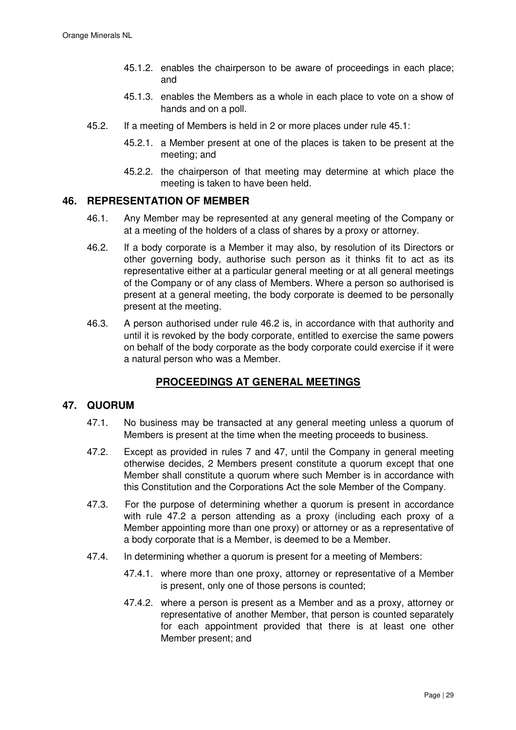- 45.1.2. enables the chairperson to be aware of proceedings in each place; and
- 45.1.3. enables the Members as a whole in each place to vote on a show of hands and on a poll.
- 45.2. If a meeting of Members is held in 2 or more places under rule 45.1:
	- 45.2.1. a Member present at one of the places is taken to be present at the meeting; and
	- 45.2.2. the chairperson of that meeting may determine at which place the meeting is taken to have been held.

# **46. REPRESENTATION OF MEMBER**

- 46.1. Any Member may be represented at any general meeting of the Company or at a meeting of the holders of a class of shares by a proxy or attorney.
- 46.2. If a body corporate is a Member it may also, by resolution of its Directors or other governing body, authorise such person as it thinks fit to act as its representative either at a particular general meeting or at all general meetings of the Company or of any class of Members. Where a person so authorised is present at a general meeting, the body corporate is deemed to be personally present at the meeting.
- 46.3. A person authorised under rule 46.2 is, in accordance with that authority and until it is revoked by the body corporate, entitled to exercise the same powers on behalf of the body corporate as the body corporate could exercise if it were a natural person who was a Member.

# **PROCEEDINGS AT GENERAL MEETINGS**

# **47. QUORUM**

- 47.1. No business may be transacted at any general meeting unless a quorum of Members is present at the time when the meeting proceeds to business.
- 47.2. Except as provided in rules 7 and 47, until the Company in general meeting otherwise decides, 2 Members present constitute a quorum except that one Member shall constitute a quorum where such Member is in accordance with this Constitution and the Corporations Act the sole Member of the Company.
- 47.3. For the purpose of determining whether a quorum is present in accordance with rule 47.2 a person attending as a proxy (including each proxy of a Member appointing more than one proxy) or attorney or as a representative of a body corporate that is a Member, is deemed to be a Member.
- 47.4. In determining whether a quorum is present for a meeting of Members:
	- 47.4.1. where more than one proxy, attorney or representative of a Member is present, only one of those persons is counted;
	- 47.4.2. where a person is present as a Member and as a proxy, attorney or representative of another Member, that person is counted separately for each appointment provided that there is at least one other Member present; and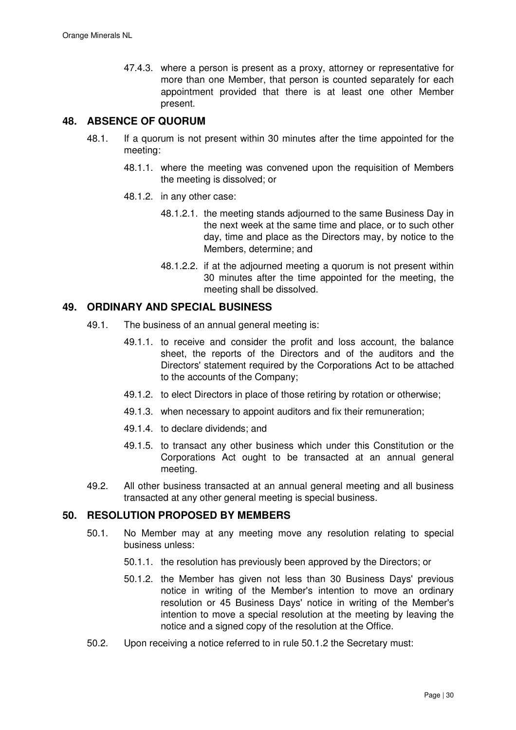47.4.3. where a person is present as a proxy, attorney or representative for more than one Member, that person is counted separately for each appointment provided that there is at least one other Member present.

# **48. ABSENCE OF QUORUM**

- 48.1. If a quorum is not present within 30 minutes after the time appointed for the meeting:
	- 48.1.1. where the meeting was convened upon the requisition of Members the meeting is dissolved; or
	- 48.1.2. in any other case:
		- 48.1.2.1. the meeting stands adjourned to the same Business Day in the next week at the same time and place, or to such other day, time and place as the Directors may, by notice to the Members, determine; and
		- 48.1.2.2. if at the adjourned meeting a quorum is not present within 30 minutes after the time appointed for the meeting, the meeting shall be dissolved.

### **49. ORDINARY AND SPECIAL BUSINESS**

- 49.1. The business of an annual general meeting is:
	- 49.1.1. to receive and consider the profit and loss account, the balance sheet, the reports of the Directors and of the auditors and the Directors' statement required by the Corporations Act to be attached to the accounts of the Company;
	- 49.1.2. to elect Directors in place of those retiring by rotation or otherwise;
	- 49.1.3. when necessary to appoint auditors and fix their remuneration;
	- 49.1.4. to declare dividends; and
	- 49.1.5. to transact any other business which under this Constitution or the Corporations Act ought to be transacted at an annual general meeting.
- 49.2. All other business transacted at an annual general meeting and all business transacted at any other general meeting is special business.

### **50. RESOLUTION PROPOSED BY MEMBERS**

- 50.1. No Member may at any meeting move any resolution relating to special business unless:
	- 50.1.1. the resolution has previously been approved by the Directors; or
	- 50.1.2. the Member has given not less than 30 Business Days' previous notice in writing of the Member's intention to move an ordinary resolution or 45 Business Days' notice in writing of the Member's intention to move a special resolution at the meeting by leaving the notice and a signed copy of the resolution at the Office.
- 50.2. Upon receiving a notice referred to in rule 50.1.2 the Secretary must: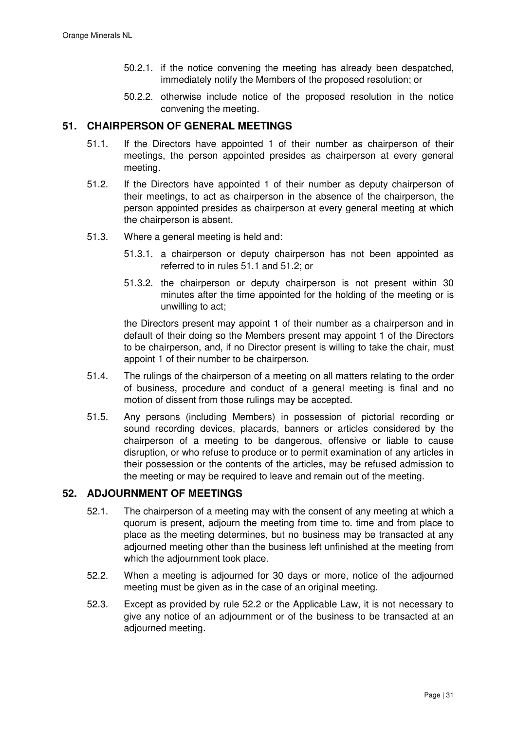- 50.2.1. if the notice convening the meeting has already been despatched, immediately notify the Members of the proposed resolution; or
- 50.2.2. otherwise include notice of the proposed resolution in the notice convening the meeting.

# **51. CHAIRPERSON OF GENERAL MEETINGS**

- 51.1. If the Directors have appointed 1 of their number as chairperson of their meetings, the person appointed presides as chairperson at every general meeting.
- 51.2. If the Directors have appointed 1 of their number as deputy chairperson of their meetings, to act as chairperson in the absence of the chairperson, the person appointed presides as chairperson at every general meeting at which the chairperson is absent.
- 51.3. Where a general meeting is held and:
	- 51.3.1. a chairperson or deputy chairperson has not been appointed as referred to in rules 51.1 and 51.2; or
	- 51.3.2. the chairperson or deputy chairperson is not present within 30 minutes after the time appointed for the holding of the meeting or is unwilling to act;

the Directors present may appoint 1 of their number as a chairperson and in default of their doing so the Members present may appoint 1 of the Directors to be chairperson, and, if no Director present is willing to take the chair, must appoint 1 of their number to be chairperson.

- 51.4. The rulings of the chairperson of a meeting on all matters relating to the order of business, procedure and conduct of a general meeting is final and no motion of dissent from those rulings may be accepted.
- 51.5. Any persons (including Members) in possession of pictorial recording or sound recording devices, placards, banners or articles considered by the chairperson of a meeting to be dangerous, offensive or liable to cause disruption, or who refuse to produce or to permit examination of any articles in their possession or the contents of the articles, may be refused admission to the meeting or may be required to leave and remain out of the meeting.

# **52. ADJOURNMENT OF MEETINGS**

- 52.1. The chairperson of a meeting may with the consent of any meeting at which a quorum is present, adjourn the meeting from time to. time and from place to place as the meeting determines, but no business may be transacted at any adjourned meeting other than the business left unfinished at the meeting from which the adjournment took place.
- 52.2. When a meeting is adjourned for 30 days or more, notice of the adjourned meeting must be given as in the case of an original meeting.
- 52.3. Except as provided by rule 52.2 or the Applicable Law, it is not necessary to give any notice of an adjournment or of the business to be transacted at an adjourned meeting.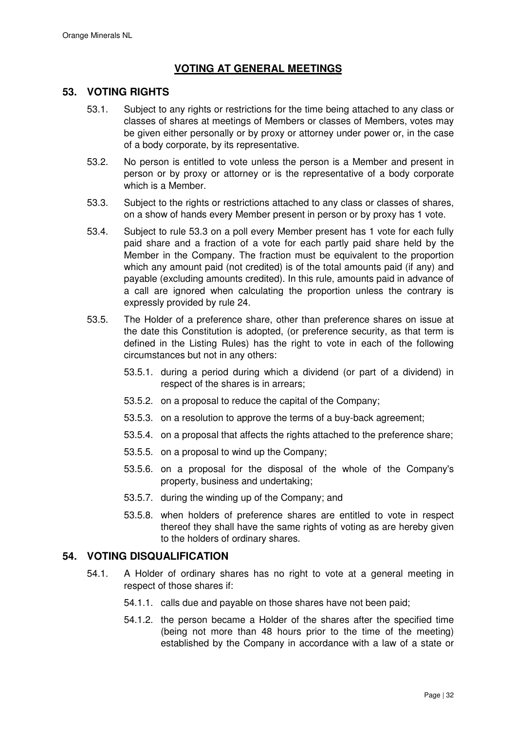# **VOTING AT GENERAL MEETINGS**

## **53. VOTING RIGHTS**

- 53.1. Subject to any rights or restrictions for the time being attached to any class or classes of shares at meetings of Members or classes of Members, votes may be given either personally or by proxy or attorney under power or, in the case of a body corporate, by its representative.
- 53.2. No person is entitled to vote unless the person is a Member and present in person or by proxy or attorney or is the representative of a body corporate which is a Member.
- 53.3. Subject to the rights or restrictions attached to any class or classes of shares, on a show of hands every Member present in person or by proxy has 1 vote.
- 53.4. Subject to rule 53.3 on a poll every Member present has 1 vote for each fully paid share and a fraction of a vote for each partly paid share held by the Member in the Company. The fraction must be equivalent to the proportion which any amount paid (not credited) is of the total amounts paid (if any) and payable (excluding amounts credited). In this rule, amounts paid in advance of a call are ignored when calculating the proportion unless the contrary is expressly provided by rule 24.
- 53.5. The Holder of a preference share, other than preference shares on issue at the date this Constitution is adopted, (or preference security, as that term is defined in the Listing Rules) has the right to vote in each of the following circumstances but not in any others:
	- 53.5.1. during a period during which a dividend (or part of a dividend) in respect of the shares is in arrears;
	- 53.5.2. on a proposal to reduce the capital of the Company;
	- 53.5.3. on a resolution to approve the terms of a buy-back agreement;
	- 53.5.4. on a proposal that affects the rights attached to the preference share;
	- 53.5.5. on a proposal to wind up the Company;
	- 53.5.6. on a proposal for the disposal of the whole of the Company's property, business and undertaking;
	- 53.5.7. during the winding up of the Company; and
	- 53.5.8. when holders of preference shares are entitled to vote in respect thereof they shall have the same rights of voting as are hereby given to the holders of ordinary shares.

### **54. VOTING DISQUALIFICATION**

- 54.1. A Holder of ordinary shares has no right to vote at a general meeting in respect of those shares if:
	- 54.1.1. calls due and payable on those shares have not been paid;
	- 54.1.2. the person became a Holder of the shares after the specified time (being not more than 48 hours prior to the time of the meeting) established by the Company in accordance with a law of a state or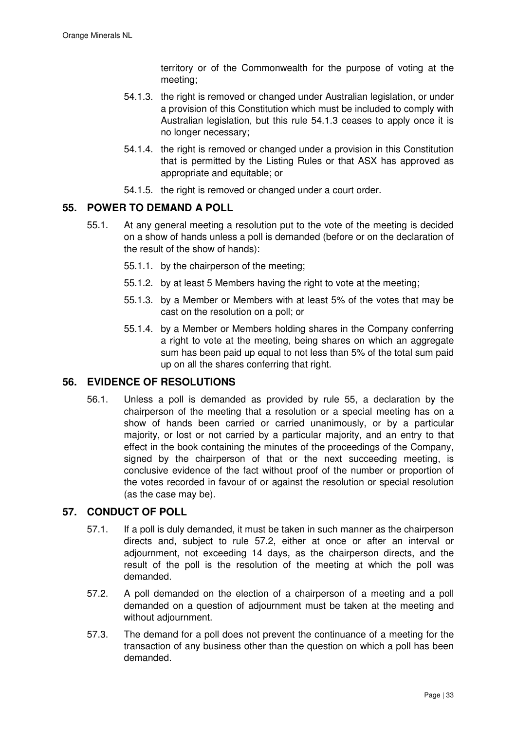territory or of the Commonwealth for the purpose of voting at the meeting;

- 54.1.3. the right is removed or changed under Australian legislation, or under a provision of this Constitution which must be included to comply with Australian legislation, but this rule 54.1.3 ceases to apply once it is no longer necessary;
- 54.1.4. the right is removed or changed under a provision in this Constitution that is permitted by the Listing Rules or that ASX has approved as appropriate and equitable; or
- 54.1.5. the right is removed or changed under a court order.

# **55. POWER TO DEMAND A POLL**

- 55.1. At any general meeting a resolution put to the vote of the meeting is decided on a show of hands unless a poll is demanded (before or on the declaration of the result of the show of hands):
	- 55.1.1. by the chairperson of the meeting;
	- 55.1.2. by at least 5 Members having the right to vote at the meeting;
	- 55.1.3. by a Member or Members with at least 5% of the votes that may be cast on the resolution on a poll; or
	- 55.1.4. by a Member or Members holding shares in the Company conferring a right to vote at the meeting, being shares on which an aggregate sum has been paid up equal to not less than 5% of the total sum paid up on all the shares conferring that right.

# **56. EVIDENCE OF RESOLUTIONS**

56.1. Unless a poll is demanded as provided by rule 55, a declaration by the chairperson of the meeting that a resolution or a special meeting has on a show of hands been carried or carried unanimously, or by a particular majority, or lost or not carried by a particular majority, and an entry to that effect in the book containing the minutes of the proceedings of the Company, signed by the chairperson of that or the next succeeding meeting, is conclusive evidence of the fact without proof of the number or proportion of the votes recorded in favour of or against the resolution or special resolution (as the case may be).

# **57. CONDUCT OF POLL**

- 57.1. If a poll is duly demanded, it must be taken in such manner as the chairperson directs and, subject to rule 57.2, either at once or after an interval or adjournment, not exceeding 14 days, as the chairperson directs, and the result of the poll is the resolution of the meeting at which the poll was demanded.
- 57.2. A poll demanded on the election of a chairperson of a meeting and a poll demanded on a question of adjournment must be taken at the meeting and without adjournment.
- 57.3. The demand for a poll does not prevent the continuance of a meeting for the transaction of any business other than the question on which a poll has been demanded.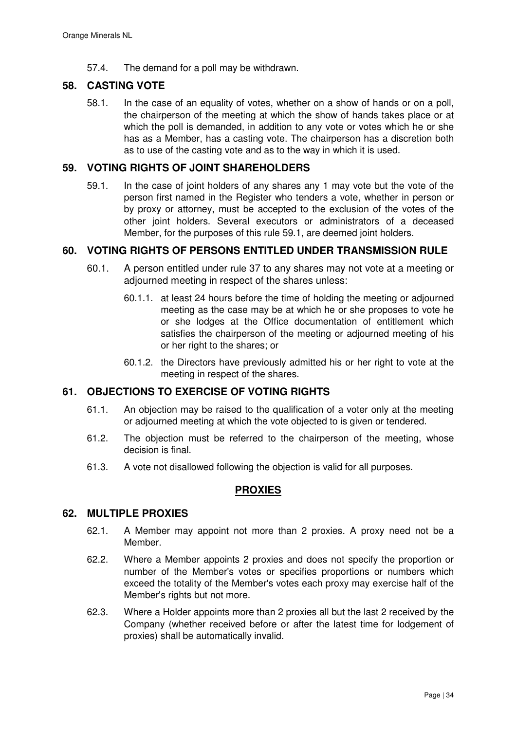57.4. The demand for a poll may be withdrawn.

## **58. CASTING VOTE**

58.1. In the case of an equality of votes, whether on a show of hands or on a poll, the chairperson of the meeting at which the show of hands takes place or at which the poll is demanded, in addition to any vote or votes which he or she has as a Member, has a casting vote. The chairperson has a discretion both as to use of the casting vote and as to the way in which it is used.

## **59. VOTING RIGHTS OF JOINT SHAREHOLDERS**

59.1. In the case of joint holders of any shares any 1 may vote but the vote of the person first named in the Register who tenders a vote, whether in person or by proxy or attorney, must be accepted to the exclusion of the votes of the other joint holders. Several executors or administrators of a deceased Member, for the purposes of this rule 59.1, are deemed joint holders.

## **60. VOTING RIGHTS OF PERSONS ENTITLED UNDER TRANSMISSION RULE**

- 60.1. A person entitled under rule 37 to any shares may not vote at a meeting or adjourned meeting in respect of the shares unless:
	- 60.1.1. at least 24 hours before the time of holding the meeting or adjourned meeting as the case may be at which he or she proposes to vote he or she lodges at the Office documentation of entitlement which satisfies the chairperson of the meeting or adjourned meeting of his or her right to the shares; or
	- 60.1.2. the Directors have previously admitted his or her right to vote at the meeting in respect of the shares.

### **61. OBJECTIONS TO EXERCISE OF VOTING RIGHTS**

- 61.1. An objection may be raised to the qualification of a voter only at the meeting or adjourned meeting at which the vote objected to is given or tendered.
- 61.2. The objection must be referred to the chairperson of the meeting, whose decision is final.
- 61.3. A vote not disallowed following the objection is valid for all purposes.

# **PROXIES**

### **62. MULTIPLE PROXIES**

- 62.1. A Member may appoint not more than 2 proxies. A proxy need not be a Member.
- 62.2. Where a Member appoints 2 proxies and does not specify the proportion or number of the Member's votes or specifies proportions or numbers which exceed the totality of the Member's votes each proxy may exercise half of the Member's rights but not more.
- 62.3. Where a Holder appoints more than 2 proxies all but the last 2 received by the Company (whether received before or after the latest time for lodgement of proxies) shall be automatically invalid.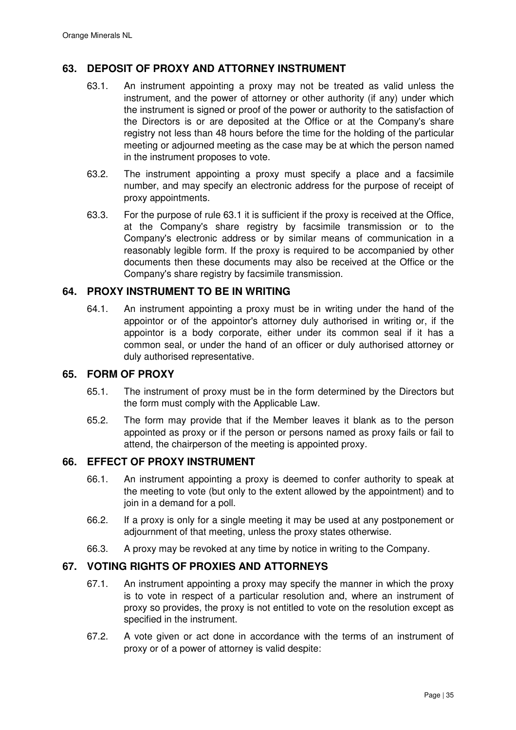# **63. DEPOSIT OF PROXY AND ATTORNEY INSTRUMENT**

- 63.1. An instrument appointing a proxy may not be treated as valid unless the instrument, and the power of attorney or other authority (if any) under which the instrument is signed or proof of the power or authority to the satisfaction of the Directors is or are deposited at the Office or at the Company's share registry not less than 48 hours before the time for the holding of the particular meeting or adjourned meeting as the case may be at which the person named in the instrument proposes to vote.
- 63.2. The instrument appointing a proxy must specify a place and a facsimile number, and may specify an electronic address for the purpose of receipt of proxy appointments.
- 63.3. For the purpose of rule 63.1 it is sufficient if the proxy is received at the Office, at the Company's share registry by facsimile transmission or to the Company's electronic address or by similar means of communication in a reasonably legible form. If the proxy is required to be accompanied by other documents then these documents may also be received at the Office or the Company's share registry by facsimile transmission.

# **64. PROXY INSTRUMENT TO BE IN WRITING**

64.1. An instrument appointing a proxy must be in writing under the hand of the appointor or of the appointor's attorney duly authorised in writing or, if the appointor is a body corporate, either under its common seal if it has a common seal, or under the hand of an officer or duly authorised attorney or duly authorised representative.

### **65. FORM OF PROXY**

- 65.1. The instrument of proxy must be in the form determined by the Directors but the form must comply with the Applicable Law.
- 65.2. The form may provide that if the Member leaves it blank as to the person appointed as proxy or if the person or persons named as proxy fails or fail to attend, the chairperson of the meeting is appointed proxy.

# **66. EFFECT OF PROXY INSTRUMENT**

- 66.1. An instrument appointing a proxy is deemed to confer authority to speak at the meeting to vote (but only to the extent allowed by the appointment) and to join in a demand for a poll.
- 66.2. If a proxy is only for a single meeting it may be used at any postponement or adjournment of that meeting, unless the proxy states otherwise.
- 66.3. A proxy may be revoked at any time by notice in writing to the Company.

# **67. VOTING RIGHTS OF PROXIES AND ATTORNEYS**

- 67.1. An instrument appointing a proxy may specify the manner in which the proxy is to vote in respect of a particular resolution and, where an instrument of proxy so provides, the proxy is not entitled to vote on the resolution except as specified in the instrument.
- 67.2. A vote given or act done in accordance with the terms of an instrument of proxy or of a power of attorney is valid despite: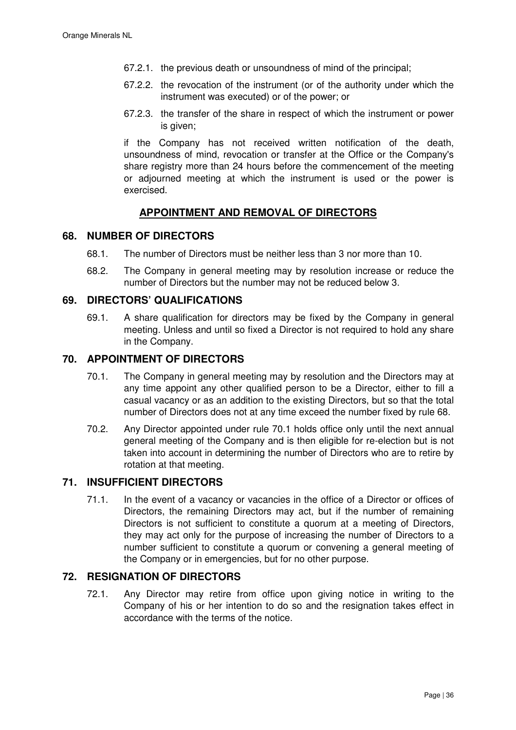- 67.2.1. the previous death or unsoundness of mind of the principal;
- 67.2.2. the revocation of the instrument (or of the authority under which the instrument was executed) or of the power; or
- 67.2.3. the transfer of the share in respect of which the instrument or power is given:

if the Company has not received written notification of the death, unsoundness of mind, revocation or transfer at the Office or the Company's share registry more than 24 hours before the commencement of the meeting or adjourned meeting at which the instrument is used or the power is exercised.

# **APPOINTMENT AND REMOVAL OF DIRECTORS**

### **68. NUMBER OF DIRECTORS**

- 68.1. The number of Directors must be neither less than 3 nor more than 10.
- 68.2. The Company in general meeting may by resolution increase or reduce the number of Directors but the number may not be reduced below 3.

## **69. DIRECTORS' QUALIFICATIONS**

69.1. A share qualification for directors may be fixed by the Company in general meeting. Unless and until so fixed a Director is not required to hold any share in the Company.

# **70. APPOINTMENT OF DIRECTORS**

- 70.1. The Company in general meeting may by resolution and the Directors may at any time appoint any other qualified person to be a Director, either to fill a casual vacancy or as an addition to the existing Directors, but so that the total number of Directors does not at any time exceed the number fixed by rule 68.
- 70.2. Any Director appointed under rule 70.1 holds office only until the next annual general meeting of the Company and is then eligible for re-election but is not taken into account in determining the number of Directors who are to retire by rotation at that meeting.

## **71. INSUFFICIENT DIRECTORS**

71.1. In the event of a vacancy or vacancies in the office of a Director or offices of Directors, the remaining Directors may act, but if the number of remaining Directors is not sufficient to constitute a quorum at a meeting of Directors, they may act only for the purpose of increasing the number of Directors to a number sufficient to constitute a quorum or convening a general meeting of the Company or in emergencies, but for no other purpose.

### **72. RESIGNATION OF DIRECTORS**

72.1. Any Director may retire from office upon giving notice in writing to the Company of his or her intention to do so and the resignation takes effect in accordance with the terms of the notice.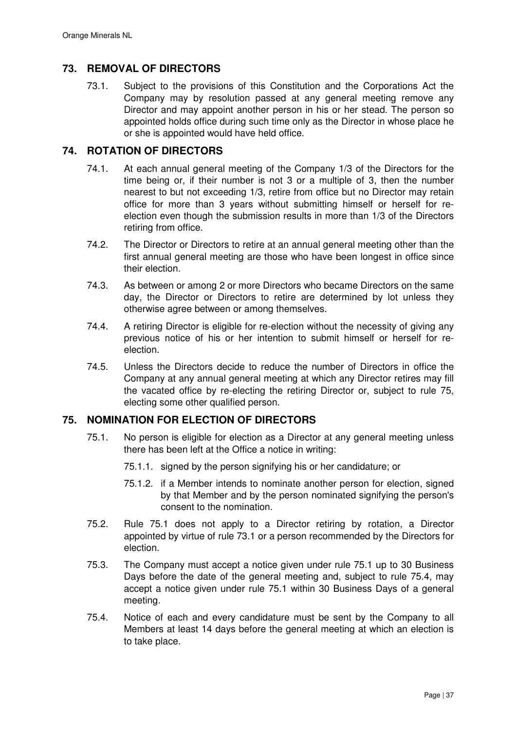# **73. REMOVAL OF DIRECTORS**

73.1. Subject to the provisions of this Constitution and the Corporations Act the Company may by resolution passed at any general meeting remove any Director and may appoint another person in his or her stead. The person so appointed holds office during such time only as the Director in whose place he or she is appointed would have held office.

## **74. ROTATION OF DIRECTORS**

- 74.1. At each annual general meeting of the Company 1/3 of the Directors for the time being or, if their number is not 3 or a multiple of 3, then the number nearest to but not exceeding 1/3, retire from office but no Director may retain office for more than 3 years without submitting himself or herself for reelection even though the submission results in more than 1/3 of the Directors retiring from office.
- 74.2. The Director or Directors to retire at an annual general meeting other than the first annual general meeting are those who have been longest in office since their election.
- 74.3. As between or among 2 or more Directors who became Directors on the same day, the Director or Directors to retire are determined by lot unless they otherwise agree between or among themselves.
- 74.4. A retiring Director is eligible for re-election without the necessity of giving any previous notice of his or her intention to submit himself or herself for reelection.
- 74.5. Unless the Directors decide to reduce the number of Directors in office the Company at any annual general meeting at which any Director retires may fill the vacated office by re-electing the retiring Director or, subject to rule 75, electing some other qualified person.

## **75. NOMINATION FOR ELECTION OF DIRECTORS**

- 75.1. No person is eligible for election as a Director at any general meeting unless there has been left at the Office a notice in writing:
	- 75.1.1. signed by the person signifying his or her candidature; or
	- 75.1.2. if a Member intends to nominate another person for election, signed by that Member and by the person nominated signifying the person's consent to the nomination.
- 75.2. Rule 75.1 does not apply to a Director retiring by rotation, a Director appointed by virtue of rule 73.1 or a person recommended by the Directors for election.
- 75.3. The Company must accept a notice given under rule 75.1 up to 30 Business Days before the date of the general meeting and, subject to rule 75.4, may accept a notice given under rule 75.1 within 30 Business Days of a general meeting.
- 75.4. Notice of each and every candidature must be sent by the Company to all Members at least 14 days before the general meeting at which an election is to take place.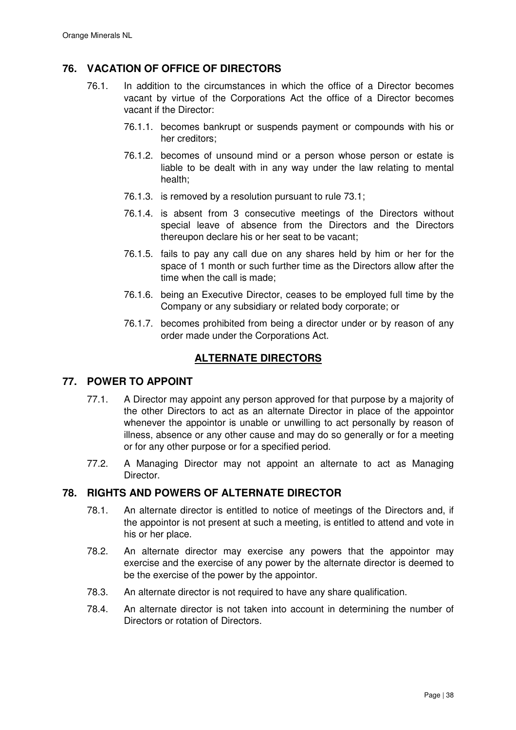# **76. VACATION OF OFFICE OF DIRECTORS**

- 76.1. In addition to the circumstances in which the office of a Director becomes vacant by virtue of the Corporations Act the office of a Director becomes vacant if the Director:
	- 76.1.1. becomes bankrupt or suspends payment or compounds with his or her creditors;
	- 76.1.2. becomes of unsound mind or a person whose person or estate is liable to be dealt with in any way under the law relating to mental health;
	- 76.1.3. is removed by a resolution pursuant to rule 73.1;
	- 76.1.4. is absent from 3 consecutive meetings of the Directors without special leave of absence from the Directors and the Directors thereupon declare his or her seat to be vacant;
	- 76.1.5. fails to pay any call due on any shares held by him or her for the space of 1 month or such further time as the Directors allow after the time when the call is made;
	- 76.1.6. being an Executive Director, ceases to be employed full time by the Company or any subsidiary or related body corporate; or
	- 76.1.7. becomes prohibited from being a director under or by reason of any order made under the Corporations Act.

# **ALTERNATE DIRECTORS**

# **77. POWER TO APPOINT**

- 77.1. A Director may appoint any person approved for that purpose by a majority of the other Directors to act as an alternate Director in place of the appointor whenever the appointor is unable or unwilling to act personally by reason of illness, absence or any other cause and may do so generally or for a meeting or for any other purpose or for a specified period.
- 77.2. A Managing Director may not appoint an alternate to act as Managing **Director**

# **78. RIGHTS AND POWERS OF ALTERNATE DIRECTOR**

- 78.1. An alternate director is entitled to notice of meetings of the Directors and, if the appointor is not present at such a meeting, is entitled to attend and vote in his or her place.
- 78.2. An alternate director may exercise any powers that the appointor may exercise and the exercise of any power by the alternate director is deemed to be the exercise of the power by the appointor.
- 78.3. An alternate director is not required to have any share qualification.
- 78.4. An alternate director is not taken into account in determining the number of Directors or rotation of Directors.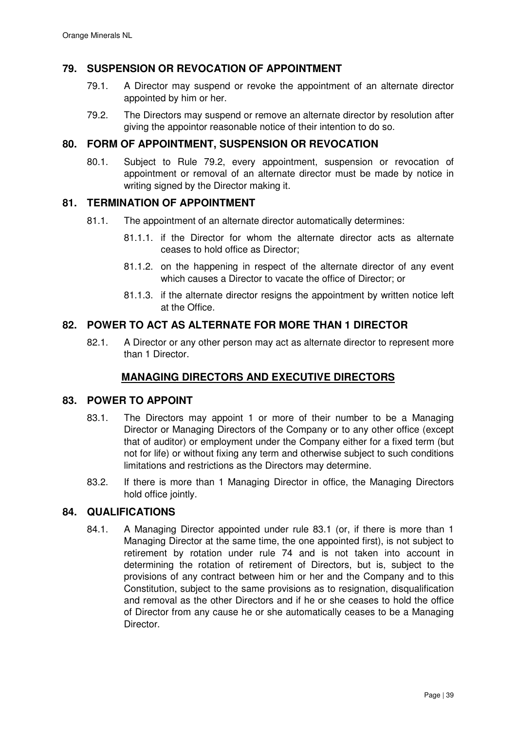## **79. SUSPENSION OR REVOCATION OF APPOINTMENT**

- 79.1. A Director may suspend or revoke the appointment of an alternate director appointed by him or her.
- 79.2. The Directors may suspend or remove an alternate director by resolution after giving the appointor reasonable notice of their intention to do so.

## **80. FORM OF APPOINTMENT, SUSPENSION OR REVOCATION**

80.1. Subject to Rule 79.2, every appointment, suspension or revocation of appointment or removal of an alternate director must be made by notice in writing signed by the Director making it.

### **81. TERMINATION OF APPOINTMENT**

- 81.1. The appointment of an alternate director automatically determines:
	- 81.1.1. if the Director for whom the alternate director acts as alternate ceases to hold office as Director;
	- 81.1.2. on the happening in respect of the alternate director of any event which causes a Director to vacate the office of Director; or
	- 81.1.3. if the alternate director resigns the appointment by written notice left at the Office.

### **82. POWER TO ACT AS ALTERNATE FOR MORE THAN 1 DIRECTOR**

82.1. A Director or any other person may act as alternate director to represent more than 1 Director.

# **MANAGING DIRECTORS AND EXECUTIVE DIRECTORS**

### **83. POWER TO APPOINT**

- 83.1. The Directors may appoint 1 or more of their number to be a Managing Director or Managing Directors of the Company or to any other office (except that of auditor) or employment under the Company either for a fixed term (but not for life) or without fixing any term and otherwise subject to such conditions limitations and restrictions as the Directors may determine.
- 83.2. If there is more than 1 Managing Director in office, the Managing Directors hold office jointly.

### **84. QUALIFICATIONS**

84.1. A Managing Director appointed under rule 83.1 (or, if there is more than 1 Managing Director at the same time, the one appointed first), is not subject to retirement by rotation under rule 74 and is not taken into account in determining the rotation of retirement of Directors, but is, subject to the provisions of any contract between him or her and the Company and to this Constitution, subject to the same provisions as to resignation, disqualification and removal as the other Directors and if he or she ceases to hold the office of Director from any cause he or she automatically ceases to be a Managing Director.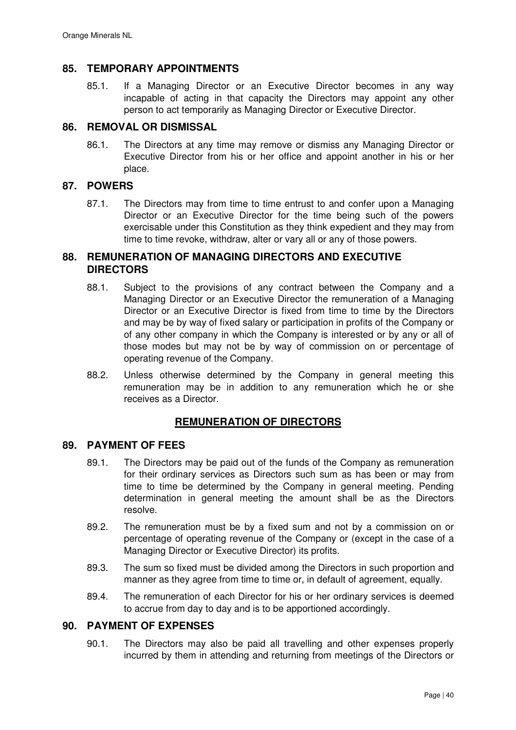# **85. TEMPORARY APPOINTMENTS**

85.1. If a Managing Director or an Executive Director becomes in any way incapable of acting in that capacity the Directors may appoint any other person to act temporarily as Managing Director or Executive Director.

### **86. REMOVAL OR DISMISSAL**

86.1. The Directors at any time may remove or dismiss any Managing Director or Executive Director from his or her office and appoint another in his or her place.

# **87. POWERS**

87.1. The Directors may from time to time entrust to and confer upon a Managing Director or an Executive Director for the time being such of the powers exercisable under this Constitution as they think expedient and they may from time to time revoke, withdraw, alter or vary all or any of those powers.

## **88. REMUNERATION OF MANAGING DIRECTORS AND EXECUTIVE DIRECTORS**

- 88.1. Subject to the provisions of any contract between the Company and a Managing Director or an Executive Director the remuneration of a Managing Director or an Executive Director is fixed from time to time by the Directors and may be by way of fixed salary or participation in profits of the Company or of any other company in which the Company is interested or by any or all of those modes but may not be by way of commission on or percentage of operating revenue of the Company.
- 88.2. Unless otherwise determined by the Company in general meeting this remuneration may be in addition to any remuneration which he or she receives as a Director.

# **REMUNERATION OF DIRECTORS**

## **89. PAYMENT OF FEES**

- 89.1. The Directors may be paid out of the funds of the Company as remuneration for their ordinary services as Directors such sum as has been or may from time to time be determined by the Company in general meeting. Pending determination in general meeting the amount shall be as the Directors resolve.
- 89.2. The remuneration must be by a fixed sum and not by a commission on or percentage of operating revenue of the Company or (except in the case of a Managing Director or Executive Director) its profits.
- 89.3. The sum so fixed must be divided among the Directors in such proportion and manner as they agree from time to time or, in default of agreement, equally.
- 89.4. The remuneration of each Director for his or her ordinary services is deemed to accrue from day to day and is to be apportioned accordingly.

### **90. PAYMENT OF EXPENSES**

90.1. The Directors may also be paid all travelling and other expenses properly incurred by them in attending and returning from meetings of the Directors or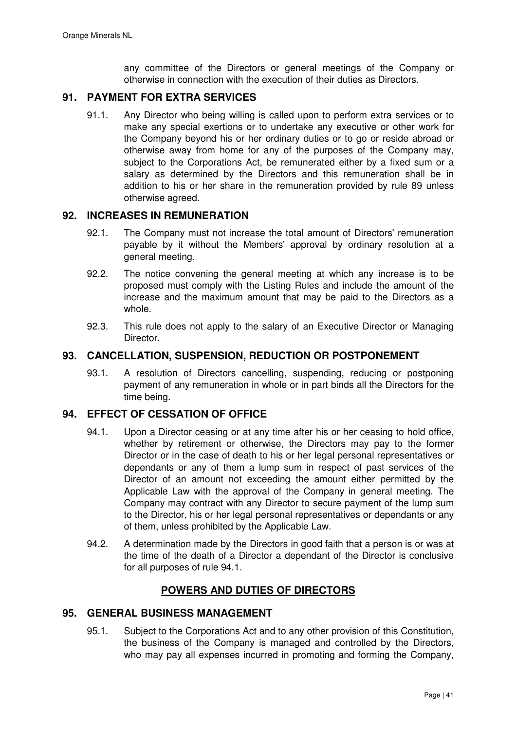any committee of the Directors or general meetings of the Company or otherwise in connection with the execution of their duties as Directors.

# **91. PAYMENT FOR EXTRA SERVICES**

91.1. Any Director who being willing is called upon to perform extra services or to make any special exertions or to undertake any executive or other work for the Company beyond his or her ordinary duties or to go or reside abroad or otherwise away from home for any of the purposes of the Company may, subject to the Corporations Act, be remunerated either by a fixed sum or a salary as determined by the Directors and this remuneration shall be in addition to his or her share in the remuneration provided by rule 89 unless otherwise agreed.

### **92. INCREASES IN REMUNERATION**

- 92.1. The Company must not increase the total amount of Directors' remuneration payable by it without the Members' approval by ordinary resolution at a general meeting.
- 92.2. The notice convening the general meeting at which any increase is to be proposed must comply with the Listing Rules and include the amount of the increase and the maximum amount that may be paid to the Directors as a whole.
- 92.3. This rule does not apply to the salary of an Executive Director or Managing Director.

### **93. CANCELLATION, SUSPENSION, REDUCTION OR POSTPONEMENT**

93.1. A resolution of Directors cancelling, suspending, reducing or postponing payment of any remuneration in whole or in part binds all the Directors for the time being.

# **94. EFFECT OF CESSATION OF OFFICE**

- 94.1. Upon a Director ceasing or at any time after his or her ceasing to hold office, whether by retirement or otherwise, the Directors may pay to the former Director or in the case of death to his or her legal personal representatives or dependants or any of them a lump sum in respect of past services of the Director of an amount not exceeding the amount either permitted by the Applicable Law with the approval of the Company in general meeting. The Company may contract with any Director to secure payment of the lump sum to the Director, his or her legal personal representatives or dependants or any of them, unless prohibited by the Applicable Law.
- 94.2. A determination made by the Directors in good faith that a person is or was at the time of the death of a Director a dependant of the Director is conclusive for all purposes of rule 94.1.

# **POWERS AND DUTIES OF DIRECTORS**

## **95. GENERAL BUSINESS MANAGEMENT**

95.1. Subject to the Corporations Act and to any other provision of this Constitution, the business of the Company is managed and controlled by the Directors, who may pay all expenses incurred in promoting and forming the Company,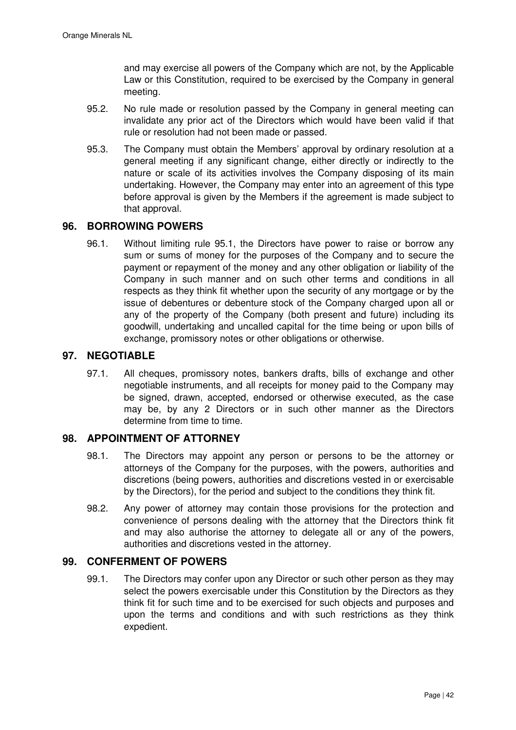and may exercise all powers of the Company which are not, by the Applicable Law or this Constitution, required to be exercised by the Company in general meeting.

- 95.2. No rule made or resolution passed by the Company in general meeting can invalidate any prior act of the Directors which would have been valid if that rule or resolution had not been made or passed.
- 95.3. The Company must obtain the Members' approval by ordinary resolution at a general meeting if any significant change, either directly or indirectly to the nature or scale of its activities involves the Company disposing of its main undertaking. However, the Company may enter into an agreement of this type before approval is given by the Members if the agreement is made subject to that approval.

# **96. BORROWING POWERS**

96.1. Without limiting rule 95.1, the Directors have power to raise or borrow any sum or sums of money for the purposes of the Company and to secure the payment or repayment of the money and any other obligation or liability of the Company in such manner and on such other terms and conditions in all respects as they think fit whether upon the security of any mortgage or by the issue of debentures or debenture stock of the Company charged upon all or any of the property of the Company (both present and future) including its goodwill, undertaking and uncalled capital for the time being or upon bills of exchange, promissory notes or other obligations or otherwise.

## **97. NEGOTIABLE**

97.1. All cheques, promissory notes, bankers drafts, bills of exchange and other negotiable instruments, and all receipts for money paid to the Company may be signed, drawn, accepted, endorsed or otherwise executed, as the case may be, by any 2 Directors or in such other manner as the Directors determine from time to time.

### **98. APPOINTMENT OF ATTORNEY**

- 98.1. The Directors may appoint any person or persons to be the attorney or attorneys of the Company for the purposes, with the powers, authorities and discretions (being powers, authorities and discretions vested in or exercisable by the Directors), for the period and subject to the conditions they think fit.
- 98.2. Any power of attorney may contain those provisions for the protection and convenience of persons dealing with the attorney that the Directors think fit and may also authorise the attorney to delegate all or any of the powers, authorities and discretions vested in the attorney.

# **99. CONFERMENT OF POWERS**

99.1. The Directors may confer upon any Director or such other person as they may select the powers exercisable under this Constitution by the Directors as they think fit for such time and to be exercised for such objects and purposes and upon the terms and conditions and with such restrictions as they think expedient.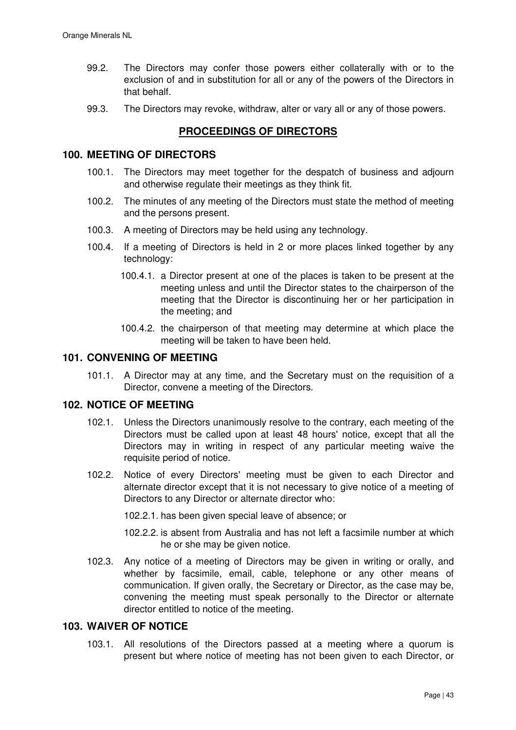- 99.2. The Directors may confer those powers either collaterally with or to the exclusion of and in substitution for all or any of the powers of the Directors in that behalf.
- 99.3. The Directors may revoke, withdraw, alter or vary all or any of those powers.

# **PROCEEDINGS OF DIRECTORS**

#### **100. MEETING OF DIRECTORS**

- 100.1. The Directors may meet together for the despatch of business and adjourn and otherwise regulate their meetings as they think fit.
- 100.2. The minutes of any meeting of the Directors must state the method of meeting and the persons present.
- 100.3. A meeting of Directors may be held using any technology.
- 100.4. If a meeting of Directors is held in 2 or more places linked together by any technology:
	- 100.4.1. a Director present at one of the places is taken to be present at the meeting unless and until the Director states to the chairperson of the meeting that the Director is discontinuing her or her participation in the meeting; and
	- 100.4.2. the chairperson of that meeting may determine at which place the meeting will be taken to have been held.

## **101. CONVENING OF MEETING**

101.1. A Director may at any time, and the Secretary must on the requisition of a Director, convene a meeting of the Directors.

## **102. NOTICE OF MEETING**

- 102.1. Unless the Directors unanimously resolve to the contrary, each meeting of the Directors must be called upon at least 48 hours' notice, except that all the Directors may in writing in respect of any particular meeting waive the requisite period of notice.
- 102.2. Notice of every Directors' meeting must be given to each Director and alternate director except that it is not necessary to give notice of a meeting of Directors to any Director or alternate director who:

102.2.1. has been given special leave of absence; or

- 102.2.2. is absent from Australia and has not left a facsimile number at which he or she may be given notice.
- 102.3. Any notice of a meeting of Directors may be given in writing or orally, and whether by facsimile, email, cable, telephone or any other means of communication. If given orally, the Secretary or Director, as the case may be, convening the meeting must speak personally to the Director or alternate director entitled to notice of the meeting.

## **103. WAIVER OF NOTICE**

103.1. All resolutions of the Directors passed at a meeting where a quorum is present but where notice of meeting has not been given to each Director, or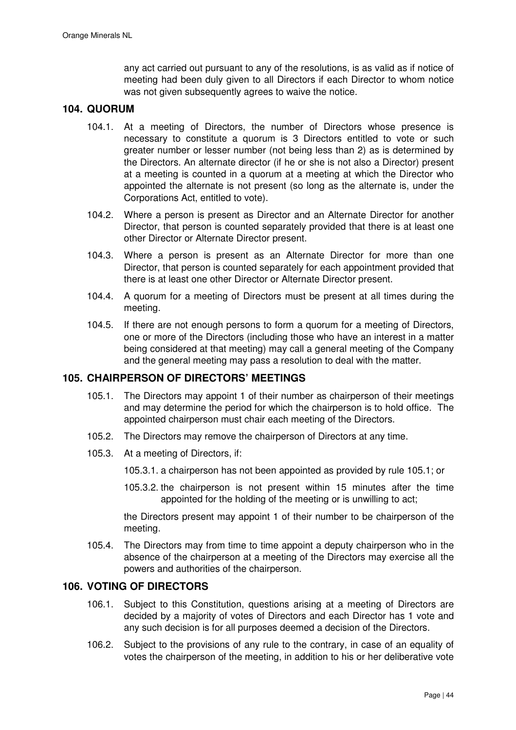any act carried out pursuant to any of the resolutions, is as valid as if notice of meeting had been duly given to all Directors if each Director to whom notice was not given subsequently agrees to waive the notice.

## **104. QUORUM**

- 104.1. At a meeting of Directors, the number of Directors whose presence is necessary to constitute a quorum is 3 Directors entitled to vote or such greater number or lesser number (not being less than 2) as is determined by the Directors. An alternate director (if he or she is not also a Director) present at a meeting is counted in a quorum at a meeting at which the Director who appointed the alternate is not present (so long as the alternate is, under the Corporations Act, entitled to vote).
- 104.2. Where a person is present as Director and an Alternate Director for another Director, that person is counted separately provided that there is at least one other Director or Alternate Director present.
- 104.3. Where a person is present as an Alternate Director for more than one Director, that person is counted separately for each appointment provided that there is at least one other Director or Alternate Director present.
- 104.4. A quorum for a meeting of Directors must be present at all times during the meeting.
- 104.5. If there are not enough persons to form a quorum for a meeting of Directors, one or more of the Directors (including those who have an interest in a matter being considered at that meeting) may call a general meeting of the Company and the general meeting may pass a resolution to deal with the matter.

### **105. CHAIRPERSON OF DIRECTORS' MEETINGS**

- 105.1. The Directors may appoint 1 of their number as chairperson of their meetings and may determine the period for which the chairperson is to hold office. The appointed chairperson must chair each meeting of the Directors.
- 105.2. The Directors may remove the chairperson of Directors at any time.
- 105.3. At a meeting of Directors, if:
	- 105.3.1. a chairperson has not been appointed as provided by rule 105.1; or
	- 105.3.2. the chairperson is not present within 15 minutes after the time appointed for the holding of the meeting or is unwilling to act;

the Directors present may appoint 1 of their number to be chairperson of the meeting.

105.4. The Directors may from time to time appoint a deputy chairperson who in the absence of the chairperson at a meeting of the Directors may exercise all the powers and authorities of the chairperson.

## **106. VOTING OF DIRECTORS**

- 106.1. Subject to this Constitution, questions arising at a meeting of Directors are decided by a majority of votes of Directors and each Director has 1 vote and any such decision is for all purposes deemed a decision of the Directors.
- 106.2. Subject to the provisions of any rule to the contrary, in case of an equality of votes the chairperson of the meeting, in addition to his or her deliberative vote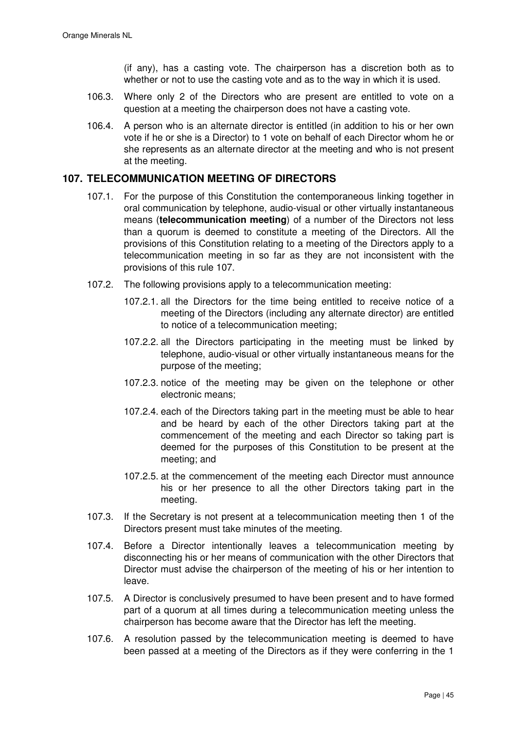(if any), has a casting vote. The chairperson has a discretion both as to whether or not to use the casting vote and as to the way in which it is used.

- 106.3. Where only 2 of the Directors who are present are entitled to vote on a question at a meeting the chairperson does not have a casting vote.
- 106.4. A person who is an alternate director is entitled (in addition to his or her own vote if he or she is a Director) to 1 vote on behalf of each Director whom he or she represents as an alternate director at the meeting and who is not present at the meeting.

## **107. TELECOMMUNICATION MEETING OF DIRECTORS**

- 107.1. For the purpose of this Constitution the contemporaneous linking together in oral communication by telephone, audio-visual or other virtually instantaneous means (**telecommunication meeting**) of a number of the Directors not less than a quorum is deemed to constitute a meeting of the Directors. All the provisions of this Constitution relating to a meeting of the Directors apply to a telecommunication meeting in so far as they are not inconsistent with the provisions of this rule 107.
- 107.2. The following provisions apply to a telecommunication meeting:
	- 107.2.1. all the Directors for the time being entitled to receive notice of a meeting of the Directors (including any alternate director) are entitled to notice of a telecommunication meeting;
	- 107.2.2. all the Directors participating in the meeting must be linked by telephone, audio-visual or other virtually instantaneous means for the purpose of the meeting;
	- 107.2.3. notice of the meeting may be given on the telephone or other electronic means;
	- 107.2.4. each of the Directors taking part in the meeting must be able to hear and be heard by each of the other Directors taking part at the commencement of the meeting and each Director so taking part is deemed for the purposes of this Constitution to be present at the meeting; and
	- 107.2.5. at the commencement of the meeting each Director must announce his or her presence to all the other Directors taking part in the meeting.
- 107.3. If the Secretary is not present at a telecommunication meeting then 1 of the Directors present must take minutes of the meeting.
- 107.4. Before a Director intentionally leaves a telecommunication meeting by disconnecting his or her means of communication with the other Directors that Director must advise the chairperson of the meeting of his or her intention to leave.
- 107.5. A Director is conclusively presumed to have been present and to have formed part of a quorum at all times during a telecommunication meeting unless the chairperson has become aware that the Director has left the meeting.
- 107.6. A resolution passed by the telecommunication meeting is deemed to have been passed at a meeting of the Directors as if they were conferring in the 1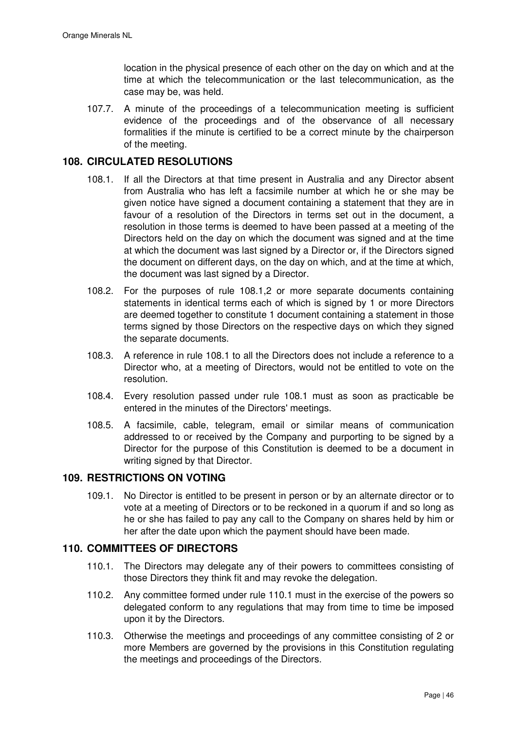location in the physical presence of each other on the day on which and at the time at which the telecommunication or the last telecommunication, as the case may be, was held.

107.7. A minute of the proceedings of a telecommunication meeting is sufficient evidence of the proceedings and of the observance of all necessary formalities if the minute is certified to be a correct minute by the chairperson of the meeting.

# **108. CIRCULATED RESOLUTIONS**

- 108.1. If all the Directors at that time present in Australia and any Director absent from Australia who has left a facsimile number at which he or she may be given notice have signed a document containing a statement that they are in favour of a resolution of the Directors in terms set out in the document, a resolution in those terms is deemed to have been passed at a meeting of the Directors held on the day on which the document was signed and at the time at which the document was last signed by a Director or, if the Directors signed the document on different days, on the day on which, and at the time at which, the document was last signed by a Director.
- 108.2. For the purposes of rule 108.1,2 or more separate documents containing statements in identical terms each of which is signed by 1 or more Directors are deemed together to constitute 1 document containing a statement in those terms signed by those Directors on the respective days on which they signed the separate documents.
- 108.3. A reference in rule 108.1 to all the Directors does not include a reference to a Director who, at a meeting of Directors, would not be entitled to vote on the resolution.
- 108.4. Every resolution passed under rule 108.1 must as soon as practicable be entered in the minutes of the Directors' meetings.
- 108.5. A facsimile, cable, telegram, email or similar means of communication addressed to or received by the Company and purporting to be signed by a Director for the purpose of this Constitution is deemed to be a document in writing signed by that Director.

# **109. RESTRICTIONS ON VOTING**

109.1. No Director is entitled to be present in person or by an alternate director or to vote at a meeting of Directors or to be reckoned in a quorum if and so long as he or she has failed to pay any call to the Company on shares held by him or her after the date upon which the payment should have been made.

# **110. COMMITTEES OF DIRECTORS**

- 110.1. The Directors may delegate any of their powers to committees consisting of those Directors they think fit and may revoke the delegation.
- 110.2. Any committee formed under rule 110.1 must in the exercise of the powers so delegated conform to any regulations that may from time to time be imposed upon it by the Directors.
- 110.3. Otherwise the meetings and proceedings of any committee consisting of 2 or more Members are governed by the provisions in this Constitution regulating the meetings and proceedings of the Directors.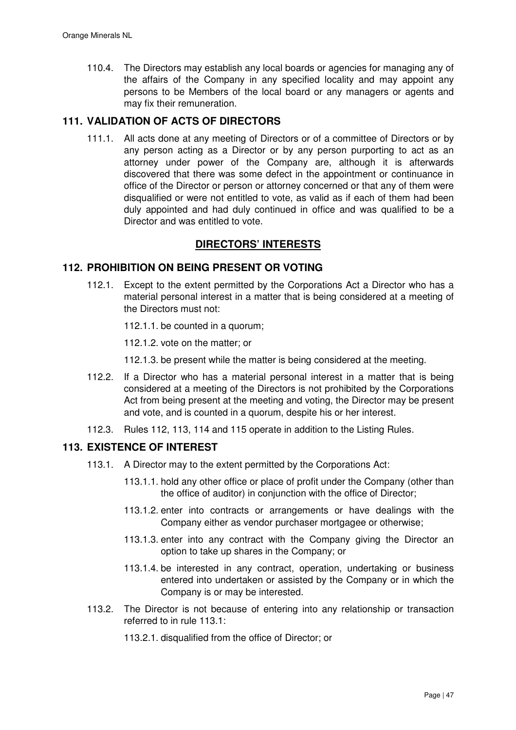110.4. The Directors may establish any local boards or agencies for managing any of the affairs of the Company in any specified locality and may appoint any persons to be Members of the local board or any managers or agents and may fix their remuneration.

# **111. VALIDATION OF ACTS OF DIRECTORS**

111.1. All acts done at any meeting of Directors or of a committee of Directors or by any person acting as a Director or by any person purporting to act as an attorney under power of the Company are, although it is afterwards discovered that there was some defect in the appointment or continuance in office of the Director or person or attorney concerned or that any of them were disqualified or were not entitled to vote, as valid as if each of them had been duly appointed and had duly continued in office and was qualified to be a Director and was entitled to vote.

# **DIRECTORS' INTERESTS**

## **112. PROHIBITION ON BEING PRESENT OR VOTING**

112.1. Except to the extent permitted by the Corporations Act a Director who has a material personal interest in a matter that is being considered at a meeting of the Directors must not:

112.1.1. be counted in a quorum;

112.1.2. vote on the matter; or

112.1.3. be present while the matter is being considered at the meeting.

- 112.2. If a Director who has a material personal interest in a matter that is being considered at a meeting of the Directors is not prohibited by the Corporations Act from being present at the meeting and voting, the Director may be present and vote, and is counted in a quorum, despite his or her interest.
- 112.3. Rules 112, 113, 114 and 115 operate in addition to the Listing Rules.

### **113. EXISTENCE OF INTEREST**

- 113.1. A Director may to the extent permitted by the Corporations Act:
	- 113.1.1. hold any other office or place of profit under the Company (other than the office of auditor) in conjunction with the office of Director;
	- 113.1.2. enter into contracts or arrangements or have dealings with the Company either as vendor purchaser mortgagee or otherwise;
	- 113.1.3. enter into any contract with the Company giving the Director an option to take up shares in the Company; or
	- 113.1.4. be interested in any contract, operation, undertaking or business entered into undertaken or assisted by the Company or in which the Company is or may be interested.
- 113.2. The Director is not because of entering into any relationship or transaction referred to in rule 113.1:

113.2.1. disqualified from the office of Director; or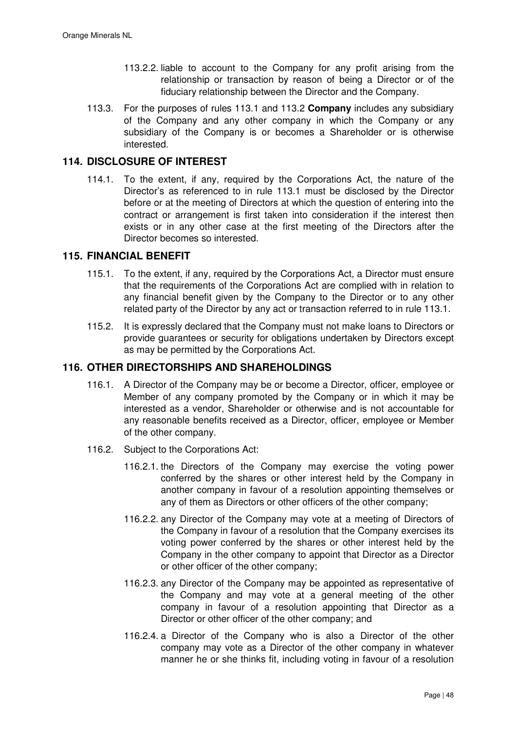- 113.2.2. liable to account to the Company for any profit arising from the relationship or transaction by reason of being a Director or of the fiduciary relationship between the Director and the Company.
- 113.3. For the purposes of rules 113.1 and 113.2 **Company** includes any subsidiary of the Company and any other company in which the Company or any subsidiary of the Company is or becomes a Shareholder or is otherwise interested.

# **114. DISCLOSURE OF INTEREST**

114.1. To the extent, if any, required by the Corporations Act, the nature of the Director's as referenced to in rule 113.1 must be disclosed by the Director before or at the meeting of Directors at which the question of entering into the contract or arrangement is first taken into consideration if the interest then exists or in any other case at the first meeting of the Directors after the Director becomes so interested.

## **115. FINANCIAL BENEFIT**

- 115.1. To the extent, if any, required by the Corporations Act, a Director must ensure that the requirements of the Corporations Act are complied with in relation to any financial benefit given by the Company to the Director or to any other related party of the Director by any act or transaction referred to in rule 113.1.
- 115.2. It is expressly declared that the Company must not make loans to Directors or provide guarantees or security for obligations undertaken by Directors except as may be permitted by the Corporations Act.

# **116. OTHER DIRECTORSHIPS AND SHAREHOLDINGS**

- 116.1. A Director of the Company may be or become a Director, officer, employee or Member of any company promoted by the Company or in which it may be interested as a vendor, Shareholder or otherwise and is not accountable for any reasonable benefits received as a Director, officer, employee or Member of the other company.
- 116.2. Subject to the Corporations Act:
	- 116.2.1. the Directors of the Company may exercise the voting power conferred by the shares or other interest held by the Company in another company in favour of a resolution appointing themselves or any of them as Directors or other officers of the other company;
	- 116.2.2. any Director of the Company may vote at a meeting of Directors of the Company in favour of a resolution that the Company exercises its voting power conferred by the shares or other interest held by the Company in the other company to appoint that Director as a Director or other officer of the other company;
	- 116.2.3. any Director of the Company may be appointed as representative of the Company and may vote at a general meeting of the other company in favour of a resolution appointing that Director as a Director or other officer of the other company; and
	- 116.2.4. a Director of the Company who is also a Director of the other company may vote as a Director of the other company in whatever manner he or she thinks fit, including voting in favour of a resolution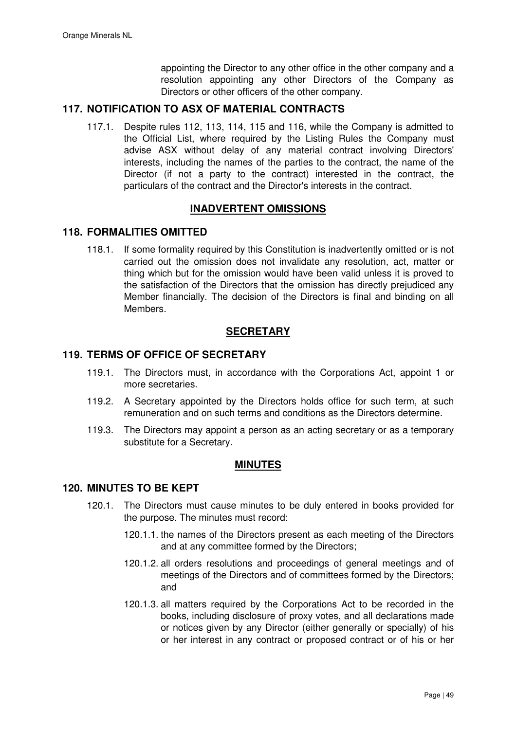appointing the Director to any other office in the other company and a resolution appointing any other Directors of the Company as Directors or other officers of the other company.

# **117. NOTIFICATION TO ASX OF MATERIAL CONTRACTS**

117.1. Despite rules 112, 113, 114, 115 and 116, while the Company is admitted to the Official List, where required by the Listing Rules the Company must advise ASX without delay of any material contract involving Directors' interests, including the names of the parties to the contract, the name of the Director (if not a party to the contract) interested in the contract, the particulars of the contract and the Director's interests in the contract.

# **INADVERTENT OMISSIONS**

### **118. FORMALITIES OMITTED**

118.1. If some formality required by this Constitution is inadvertently omitted or is not carried out the omission does not invalidate any resolution, act, matter or thing which but for the omission would have been valid unless it is proved to the satisfaction of the Directors that the omission has directly prejudiced any Member financially. The decision of the Directors is final and binding on all Members.

# **SECRETARY**

## **119. TERMS OF OFFICE OF SECRETARY**

- 119.1. The Directors must, in accordance with the Corporations Act, appoint 1 or more secretaries.
- 119.2. A Secretary appointed by the Directors holds office for such term, at such remuneration and on such terms and conditions as the Directors determine.
- 119.3. The Directors may appoint a person as an acting secretary or as a temporary substitute for a Secretary.

### **MINUTES**

### **120. MINUTES TO BE KEPT**

- 120.1. The Directors must cause minutes to be duly entered in books provided for the purpose. The minutes must record:
	- 120.1.1. the names of the Directors present as each meeting of the Directors and at any committee formed by the Directors;
	- 120.1.2. all orders resolutions and proceedings of general meetings and of meetings of the Directors and of committees formed by the Directors; and
	- 120.1.3. all matters required by the Corporations Act to be recorded in the books, including disclosure of proxy votes, and all declarations made or notices given by any Director (either generally or specially) of his or her interest in any contract or proposed contract or of his or her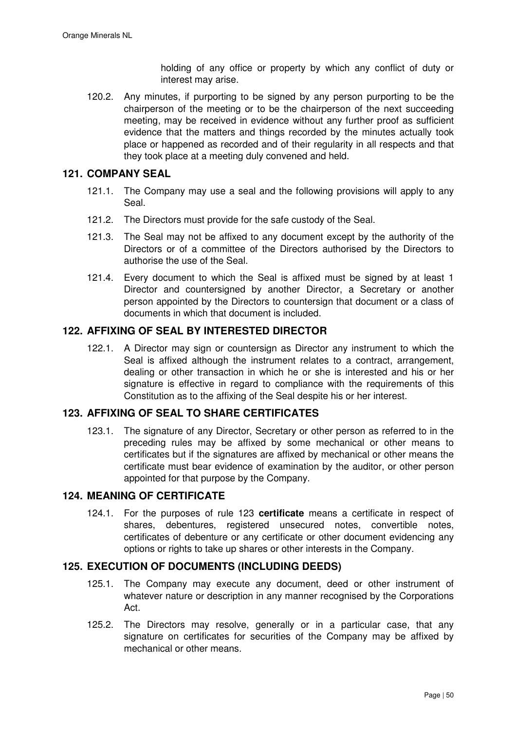holding of any office or property by which any conflict of duty or interest may arise.

120.2. Any minutes, if purporting to be signed by any person purporting to be the chairperson of the meeting or to be the chairperson of the next succeeding meeting, may be received in evidence without any further proof as sufficient evidence that the matters and things recorded by the minutes actually took place or happened as recorded and of their regularity in all respects and that they took place at a meeting duly convened and held.

# **121. COMPANY SEAL**

- 121.1. The Company may use a seal and the following provisions will apply to any Seal.
- 121.2. The Directors must provide for the safe custody of the Seal.
- 121.3. The Seal may not be affixed to any document except by the authority of the Directors or of a committee of the Directors authorised by the Directors to authorise the use of the Seal.
- 121.4. Every document to which the Seal is affixed must be signed by at least 1 Director and countersigned by another Director, a Secretary or another person appointed by the Directors to countersign that document or a class of documents in which that document is included.

# **122. AFFIXING OF SEAL BY INTERESTED DIRECTOR**

122.1. A Director may sign or countersign as Director any instrument to which the Seal is affixed although the instrument relates to a contract, arrangement, dealing or other transaction in which he or she is interested and his or her signature is effective in regard to compliance with the requirements of this Constitution as to the affixing of the Seal despite his or her interest.

# **123. AFFIXING OF SEAL TO SHARE CERTIFICATES**

123.1. The signature of any Director, Secretary or other person as referred to in the preceding rules may be affixed by some mechanical or other means to certificates but if the signatures are affixed by mechanical or other means the certificate must bear evidence of examination by the auditor, or other person appointed for that purpose by the Company.

### **124. MEANING OF CERTIFICATE**

124.1. For the purposes of rule 123 **certificate** means a certificate in respect of shares, debentures, registered unsecured notes, convertible notes, certificates of debenture or any certificate or other document evidencing any options or rights to take up shares or other interests in the Company.

## **125. EXECUTION OF DOCUMENTS (INCLUDING DEEDS)**

- 125.1. The Company may execute any document, deed or other instrument of whatever nature or description in any manner recognised by the Corporations Act.
- 125.2. The Directors may resolve, generally or in a particular case, that any signature on certificates for securities of the Company may be affixed by mechanical or other means.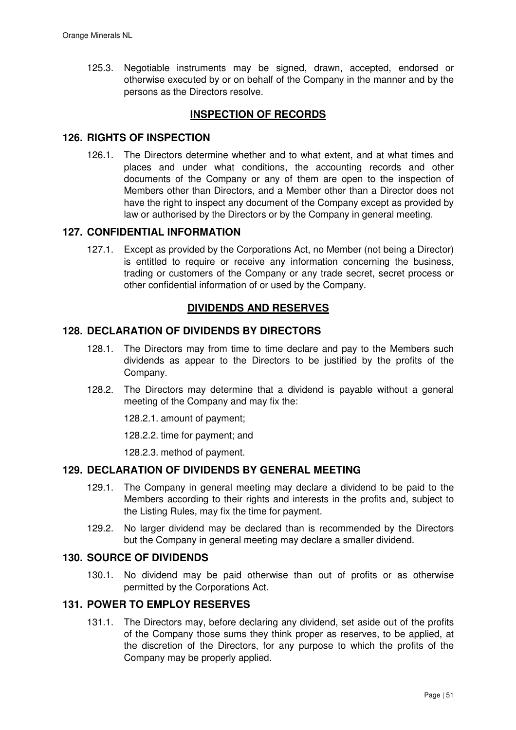125.3. Negotiable instruments may be signed, drawn, accepted, endorsed or otherwise executed by or on behalf of the Company in the manner and by the persons as the Directors resolve.

# **INSPECTION OF RECORDS**

## **126. RIGHTS OF INSPECTION**

126.1. The Directors determine whether and to what extent, and at what times and places and under what conditions, the accounting records and other documents of the Company or any of them are open to the inspection of Members other than Directors, and a Member other than a Director does not have the right to inspect any document of the Company except as provided by law or authorised by the Directors or by the Company in general meeting.

### **127. CONFIDENTIAL INFORMATION**

127.1. Except as provided by the Corporations Act, no Member (not being a Director) is entitled to require or receive any information concerning the business, trading or customers of the Company or any trade secret, secret process or other confidential information of or used by the Company.

# **DIVIDENDS AND RESERVES**

#### **128. DECLARATION OF DIVIDENDS BY DIRECTORS**

- 128.1. The Directors may from time to time declare and pay to the Members such dividends as appear to the Directors to be justified by the profits of the Company.
- 128.2. The Directors may determine that a dividend is payable without a general meeting of the Company and may fix the:

128.2.1. amount of payment;

128.2.2. time for payment; and

128.2.3. method of payment.

## **129. DECLARATION OF DIVIDENDS BY GENERAL MEETING**

- 129.1. The Company in general meeting may declare a dividend to be paid to the Members according to their rights and interests in the profits and, subject to the Listing Rules, may fix the time for payment.
- 129.2. No larger dividend may be declared than is recommended by the Directors but the Company in general meeting may declare a smaller dividend.

#### **130. SOURCE OF DIVIDENDS**

130.1. No dividend may be paid otherwise than out of profits or as otherwise permitted by the Corporations Act.

## **131. POWER TO EMPLOY RESERVES**

131.1. The Directors may, before declaring any dividend, set aside out of the profits of the Company those sums they think proper as reserves, to be applied, at the discretion of the Directors, for any purpose to which the profits of the Company may be properly applied.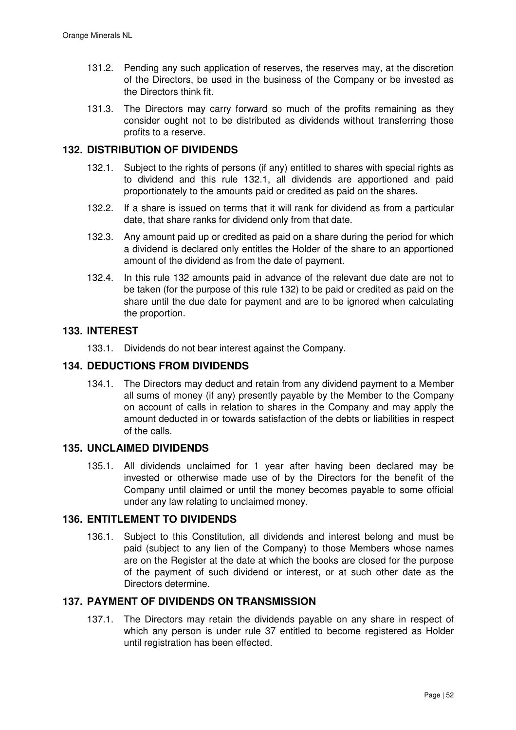- 131.2. Pending any such application of reserves, the reserves may, at the discretion of the Directors, be used in the business of the Company or be invested as the Directors think fit.
- 131.3. The Directors may carry forward so much of the profits remaining as they consider ought not to be distributed as dividends without transferring those profits to a reserve.

# **132. DISTRIBUTION OF DIVIDENDS**

- 132.1. Subject to the rights of persons (if any) entitled to shares with special rights as to dividend and this rule 132.1, all dividends are apportioned and paid proportionately to the amounts paid or credited as paid on the shares.
- 132.2. If a share is issued on terms that it will rank for dividend as from a particular date, that share ranks for dividend only from that date.
- 132.3. Any amount paid up or credited as paid on a share during the period for which a dividend is declared only entitles the Holder of the share to an apportioned amount of the dividend as from the date of payment.
- 132.4. In this rule 132 amounts paid in advance of the relevant due date are not to be taken (for the purpose of this rule 132) to be paid or credited as paid on the share until the due date for payment and are to be ignored when calculating the proportion.

## **133. INTEREST**

133.1. Dividends do not bear interest against the Company.

# **134. DEDUCTIONS FROM DIVIDENDS**

134.1. The Directors may deduct and retain from any dividend payment to a Member all sums of money (if any) presently payable by the Member to the Company on account of calls in relation to shares in the Company and may apply the amount deducted in or towards satisfaction of the debts or liabilities in respect of the calls.

### **135. UNCLAIMED DIVIDENDS**

135.1. All dividends unclaimed for 1 year after having been declared may be invested or otherwise made use of by the Directors for the benefit of the Company until claimed or until the money becomes payable to some official under any law relating to unclaimed money.

# **136. ENTITLEMENT TO DIVIDENDS**

136.1. Subject to this Constitution, all dividends and interest belong and must be paid (subject to any lien of the Company) to those Members whose names are on the Register at the date at which the books are closed for the purpose of the payment of such dividend or interest, or at such other date as the Directors determine.

# **137. PAYMENT OF DIVIDENDS ON TRANSMISSION**

137.1. The Directors may retain the dividends payable on any share in respect of which any person is under rule 37 entitled to become registered as Holder until registration has been effected.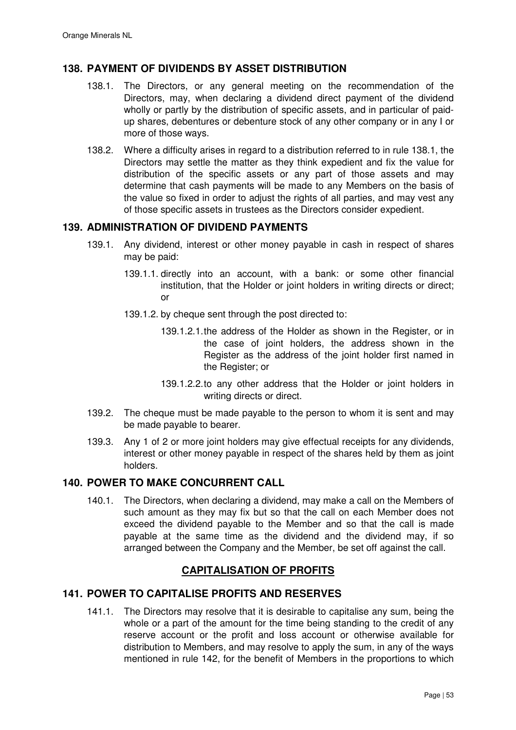# **138. PAYMENT OF DIVIDENDS BY ASSET DISTRIBUTION**

- 138.1. The Directors, or any general meeting on the recommendation of the Directors, may, when declaring a dividend direct payment of the dividend wholly or partly by the distribution of specific assets, and in particular of paidup shares, debentures or debenture stock of any other company or in any I or more of those ways.
- 138.2. Where a difficulty arises in regard to a distribution referred to in rule 138.1, the Directors may settle the matter as they think expedient and fix the value for distribution of the specific assets or any part of those assets and may determine that cash payments will be made to any Members on the basis of the value so fixed in order to adjust the rights of all parties, and may vest any of those specific assets in trustees as the Directors consider expedient.

## **139. ADMINISTRATION OF DIVIDEND PAYMENTS**

- 139.1. Any dividend, interest or other money payable in cash in respect of shares may be paid:
	- 139.1.1. directly into an account, with a bank: or some other financial institution, that the Holder or joint holders in writing directs or direct; or
	- 139.1.2. by cheque sent through the post directed to:
		- 139.1.2.1. the address of the Holder as shown in the Register, or in the case of joint holders, the address shown in the Register as the address of the joint holder first named in the Register; or
		- 139.1.2.2. to any other address that the Holder or joint holders in writing directs or direct.
- 139.2. The cheque must be made payable to the person to whom it is sent and may be made payable to bearer.
- 139.3. Any 1 of 2 or more joint holders may give effectual receipts for any dividends, interest or other money payable in respect of the shares held by them as joint holders.

# **140. POWER TO MAKE CONCURRENT CALL**

140.1. The Directors, when declaring a dividend, may make a call on the Members of such amount as they may fix but so that the call on each Member does not exceed the dividend payable to the Member and so that the call is made payable at the same time as the dividend and the dividend may, if so arranged between the Company and the Member, be set off against the call.

# **CAPITALISATION OF PROFITS**

## **141. POWER TO CAPITALISE PROFITS AND RESERVES**

141.1. The Directors may resolve that it is desirable to capitalise any sum, being the whole or a part of the amount for the time being standing to the credit of any reserve account or the profit and loss account or otherwise available for distribution to Members, and may resolve to apply the sum, in any of the ways mentioned in rule 142, for the benefit of Members in the proportions to which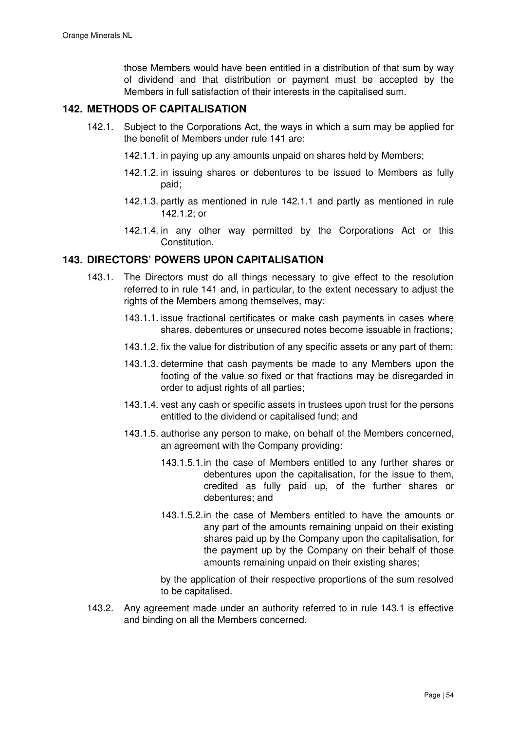those Members would have been entitled in a distribution of that sum by way of dividend and that distribution or payment must be accepted by the Members in full satisfaction of their interests in the capitalised sum.

## **142. METHODS OF CAPITALISATION**

- 142.1. Subject to the Corporations Act, the ways in which a sum may be applied for the benefit of Members under rule 141 are:
	- 142.1.1. in paying up any amounts unpaid on shares held by Members;
	- 142.1.2. in issuing shares or debentures to be issued to Members as fully paid;
	- 142.1.3. partly as mentioned in rule 142.1.1 and partly as mentioned in rule 142.1.2; or
	- 142.1.4. in any other way permitted by the Corporations Act or this Constitution.

## **143. DIRECTORS' POWERS UPON CAPITALISATION**

- 143.1. The Directors must do all things necessary to give effect to the resolution referred to in rule 141 and, in particular, to the extent necessary to adjust the rights of the Members among themselves, may:
	- 143.1.1. issue fractional certificates or make cash payments in cases where shares, debentures or unsecured notes become issuable in fractions;
	- 143.1.2. fix the value for distribution of any specific assets or any part of them;
	- 143.1.3. determine that cash payments be made to any Members upon the footing of the value so fixed or that fractions may be disregarded in order to adjust rights of all parties;
	- 143.1.4. vest any cash or specific assets in trustees upon trust for the persons entitled to the dividend or capitalised fund; and
	- 143.1.5. authorise any person to make, on behalf of the Members concerned, an agreement with the Company providing:
		- 143.1.5.1. in the case of Members entitled to any further shares or debentures upon the capitalisation, for the issue to them, credited as fully paid up, of the further shares or debentures; and
		- 143.1.5.2. in the case of Members entitled to have the amounts or any part of the amounts remaining unpaid on their existing shares paid up by the Company upon the capitalisation, for the payment up by the Company on their behalf of those amounts remaining unpaid on their existing shares;

by the application of their respective proportions of the sum resolved to be capitalised.

143.2. Any agreement made under an authority referred to in rule 143.1 is effective and binding on all the Members concerned.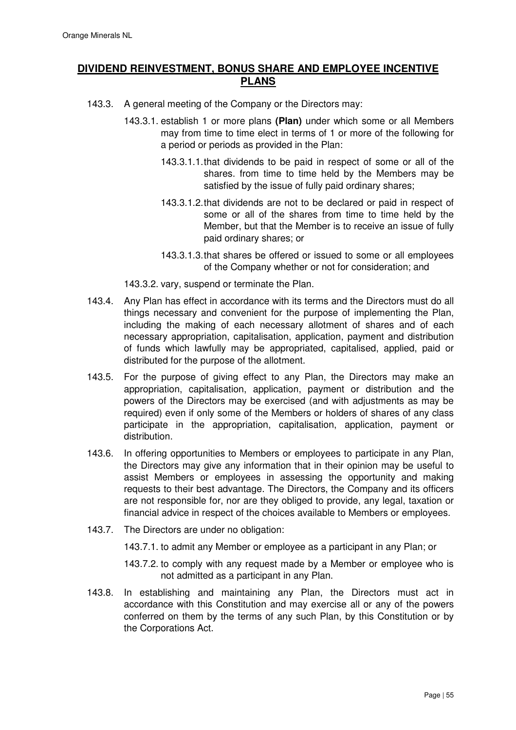# **DIVIDEND REINVESTMENT, BONUS SHARE AND EMPLOYEE INCENTIVE PLANS**

- 143.3. A general meeting of the Company or the Directors may:
	- 143.3.1. establish 1 or more plans **(Plan)** under which some or all Members may from time to time elect in terms of 1 or more of the following for a period or periods as provided in the Plan:
		- 143.3.1.1. that dividends to be paid in respect of some or all of the shares. from time to time held by the Members may be satisfied by the issue of fully paid ordinary shares;
		- 143.3.1.2. that dividends are not to be declared or paid in respect of some or all of the shares from time to time held by the Member, but that the Member is to receive an issue of fully paid ordinary shares; or
		- 143.3.1.3. that shares be offered or issued to some or all employees of the Company whether or not for consideration; and
	- 143.3.2. vary, suspend or terminate the Plan.
- 143.4. Any Plan has effect in accordance with its terms and the Directors must do all things necessary and convenient for the purpose of implementing the Plan, including the making of each necessary allotment of shares and of each necessary appropriation, capitalisation, application, payment and distribution of funds which lawfully may be appropriated, capitalised, applied, paid or distributed for the purpose of the allotment.
- 143.5. For the purpose of giving effect to any Plan, the Directors may make an appropriation, capitalisation, application, payment or distribution and the powers of the Directors may be exercised (and with adjustments as may be required) even if only some of the Members or holders of shares of any class participate in the appropriation, capitalisation, application, payment or distribution.
- 143.6. In offering opportunities to Members or employees to participate in any Plan, the Directors may give any information that in their opinion may be useful to assist Members or employees in assessing the opportunity and making requests to their best advantage. The Directors, the Company and its officers are not responsible for, nor are they obliged to provide, any legal, taxation or financial advice in respect of the choices available to Members or employees.
- 143.7. The Directors are under no obligation:
	- 143.7.1. to admit any Member or employee as a participant in any Plan; or
	- 143.7.2. to comply with any request made by a Member or employee who is not admitted as a participant in any Plan.
- 143.8. In establishing and maintaining any Plan, the Directors must act in accordance with this Constitution and may exercise all or any of the powers conferred on them by the terms of any such Plan, by this Constitution or by the Corporations Act.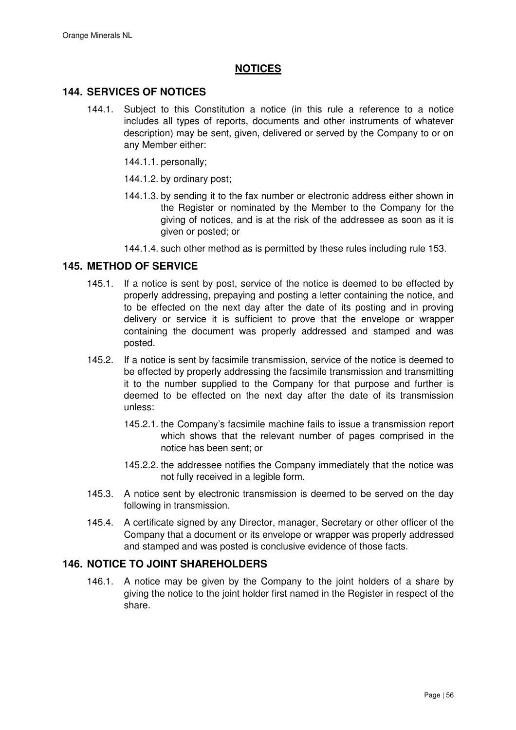# **NOTICES**

## **144. SERVICES OF NOTICES**

- 144.1. Subject to this Constitution a notice (in this rule a reference to a notice includes all types of reports, documents and other instruments of whatever description) may be sent, given, delivered or served by the Company to or on any Member either:
	- 144.1.1. personally;
	- 144.1.2. by ordinary post;
	- 144.1.3. by sending it to the fax number or electronic address either shown in the Register or nominated by the Member to the Company for the giving of notices, and is at the risk of the addressee as soon as it is given or posted; or

144.1.4. such other method as is permitted by these rules including rule 153.

## **145. METHOD OF SERVICE**

- 145.1. If a notice is sent by post, service of the notice is deemed to be effected by properly addressing, prepaying and posting a letter containing the notice, and to be effected on the next day after the date of its posting and in proving delivery or service it is sufficient to prove that the envelope or wrapper containing the document was properly addressed and stamped and was posted.
- 145.2. If a notice is sent by facsimile transmission, service of the notice is deemed to be effected by properly addressing the facsimile transmission and transmitting it to the number supplied to the Company for that purpose and further is deemed to be effected on the next day after the date of its transmission unless:
	- 145.2.1. the Company's facsimile machine fails to issue a transmission report which shows that the relevant number of pages comprised in the notice has been sent; or
	- 145.2.2. the addressee notifies the Company immediately that the notice was not fully received in a legible form.
- 145.3. A notice sent by electronic transmission is deemed to be served on the day following in transmission.
- 145.4. A certificate signed by any Director, manager, Secretary or other officer of the Company that a document or its envelope or wrapper was properly addressed and stamped and was posted is conclusive evidence of those facts.

### **146. NOTICE TO JOINT SHAREHOLDERS**

146.1. A notice may be given by the Company to the joint holders of a share by giving the notice to the joint holder first named in the Register in respect of the share.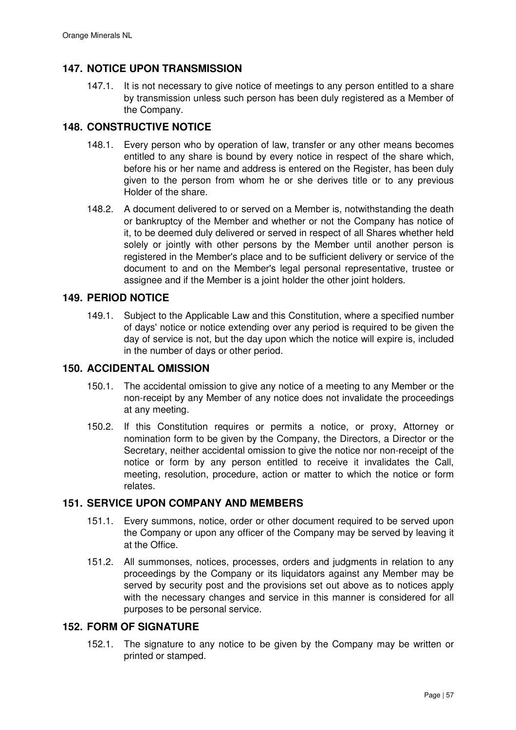# **147. NOTICE UPON TRANSMISSION**

147.1. It is not necessary to give notice of meetings to any person entitled to a share by transmission unless such person has been duly registered as a Member of the Company.

# **148. CONSTRUCTIVE NOTICE**

- 148.1. Every person who by operation of law, transfer or any other means becomes entitled to any share is bound by every notice in respect of the share which, before his or her name and address is entered on the Register, has been duly given to the person from whom he or she derives title or to any previous Holder of the share.
- 148.2. A document delivered to or served on a Member is, notwithstanding the death or bankruptcy of the Member and whether or not the Company has notice of it, to be deemed duly delivered or served in respect of all Shares whether held solely or jointly with other persons by the Member until another person is registered in the Member's place and to be sufficient delivery or service of the document to and on the Member's legal personal representative, trustee or assignee and if the Member is a joint holder the other joint holders.

## **149. PERIOD NOTICE**

149.1. Subject to the Applicable Law and this Constitution, where a specified number of days' notice or notice extending over any period is required to be given the day of service is not, but the day upon which the notice will expire is, included in the number of days or other period.

### **150. ACCIDENTAL OMISSION**

- 150.1. The accidental omission to give any notice of a meeting to any Member or the non-receipt by any Member of any notice does not invalidate the proceedings at any meeting.
- 150.2. If this Constitution requires or permits a notice, or proxy, Attorney or nomination form to be given by the Company, the Directors, a Director or the Secretary, neither accidental omission to give the notice nor non-receipt of the notice or form by any person entitled to receive it invalidates the Call, meeting, resolution, procedure, action or matter to which the notice or form relates.

# **151. SERVICE UPON COMPANY AND MEMBERS**

- 151.1. Every summons, notice, order or other document required to be served upon the Company or upon any officer of the Company may be served by leaving it at the Office.
- 151.2. All summonses, notices, processes, orders and judgments in relation to any proceedings by the Company or its liquidators against any Member may be served by security post and the provisions set out above as to notices apply with the necessary changes and service in this manner is considered for all purposes to be personal service.

## **152. FORM OF SIGNATURE**

152.1. The signature to any notice to be given by the Company may be written or printed or stamped.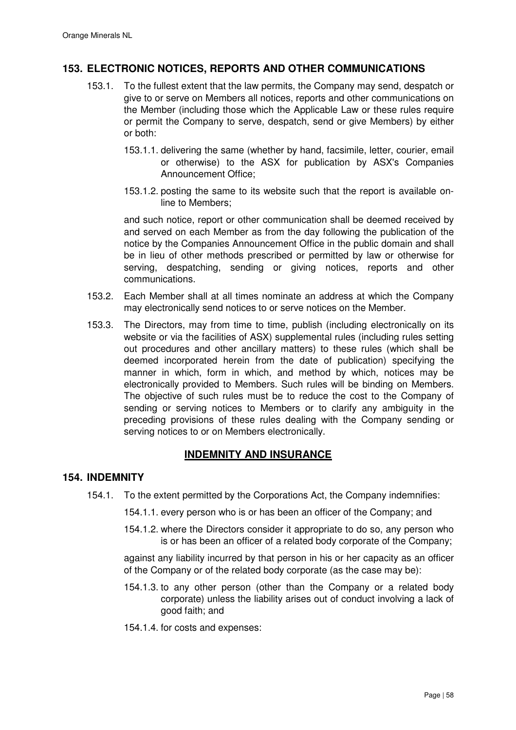# **153. ELECTRONIC NOTICES, REPORTS AND OTHER COMMUNICATIONS**

- 153.1. To the fullest extent that the law permits, the Company may send, despatch or give to or serve on Members all notices, reports and other communications on the Member (including those which the Applicable Law or these rules require or permit the Company to serve, despatch, send or give Members) by either or both:
	- 153.1.1. delivering the same (whether by hand, facsimile, letter, courier, email or otherwise) to the ASX for publication by ASX's Companies Announcement Office;
	- 153.1.2. posting the same to its website such that the report is available online to Members;

and such notice, report or other communication shall be deemed received by and served on each Member as from the day following the publication of the notice by the Companies Announcement Office in the public domain and shall be in lieu of other methods prescribed or permitted by law or otherwise for serving, despatching, sending or giving notices, reports and other communications.

- 153.2. Each Member shall at all times nominate an address at which the Company may electronically send notices to or serve notices on the Member.
- 153.3. The Directors, may from time to time, publish (including electronically on its website or via the facilities of ASX) supplemental rules (including rules setting out procedures and other ancillary matters) to these rules (which shall be deemed incorporated herein from the date of publication) specifying the manner in which, form in which, and method by which, notices may be electronically provided to Members. Such rules will be binding on Members. The objective of such rules must be to reduce the cost to the Company of sending or serving notices to Members or to clarify any ambiguity in the preceding provisions of these rules dealing with the Company sending or serving notices to or on Members electronically.

# **INDEMNITY AND INSURANCE**

### **154. INDEMNITY**

- 154.1. To the extent permitted by the Corporations Act, the Company indemnifies:
	- 154.1.1. every person who is or has been an officer of the Company; and
	- 154.1.2. where the Directors consider it appropriate to do so, any person who is or has been an officer of a related body corporate of the Company;

against any liability incurred by that person in his or her capacity as an officer of the Company or of the related body corporate (as the case may be):

- 154.1.3. to any other person (other than the Company or a related body corporate) unless the liability arises out of conduct involving a lack of good faith; and
- 154.1.4. for costs and expenses: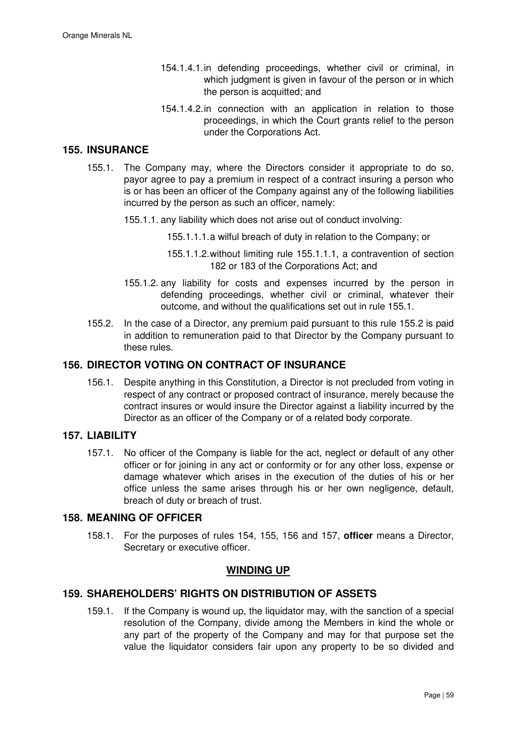- 154.1.4.1. in defending proceedings, whether civil or criminal, in which judgment is given in favour of the person or in which the person is acquitted; and
- 154.1.4.2. in connection with an application in relation to those proceedings, in which the Court grants relief to the person under the Corporations Act.

#### **155. INSURANCE**

- 155.1. The Company may, where the Directors consider it appropriate to do so, payor agree to pay a premium in respect of a contract insuring a person who is or has been an officer of the Company against any of the following liabilities incurred by the person as such an officer, namely:
	- 155.1.1. any liability which does not arise out of conduct involving:
		- 155.1.1.1. a wilful breach of duty in relation to the Company; or
		- 155.1.1.2. without limiting rule 155.1.1.1, a contravention of section 182 or 183 of the Corporations Act; and
	- 155.1.2. any liability for costs and expenses incurred by the person in defending proceedings, whether civil or criminal, whatever their outcome, and without the qualifications set out in rule 155.1.
- 155.2. In the case of a Director, any premium paid pursuant to this rule 155.2 is paid in addition to remuneration paid to that Director by the Company pursuant to these rules.

## **156. DIRECTOR VOTING ON CONTRACT OF INSURANCE**

156.1. Despite anything in this Constitution, a Director is not precluded from voting in respect of any contract or proposed contract of insurance, merely because the contract insures or would insure the Director against a liability incurred by the Director as an officer of the Company or of a related body corporate.

#### **157. LIABILITY**

157.1. No officer of the Company is liable for the act, neglect or default of any other officer or for joining in any act or conformity or for any other loss, expense or damage whatever which arises in the execution of the duties of his or her office unless the same arises through his or her own negligence, default, breach of duty or breach of trust.

# **158. MEANING OF OFFICER**

158.1. For the purposes of rules 154, 155, 156 and 157, **officer** means a Director, Secretary or executive officer.

### **WINDING UP**

## **159. SHAREHOLDERS' RIGHTS ON DISTRIBUTION OF ASSETS**

159.1. If the Company is wound up, the liquidator may, with the sanction of a special resolution of the Company, divide among the Members in kind the whole or any part of the property of the Company and may for that purpose set the value the liquidator considers fair upon any property to be so divided and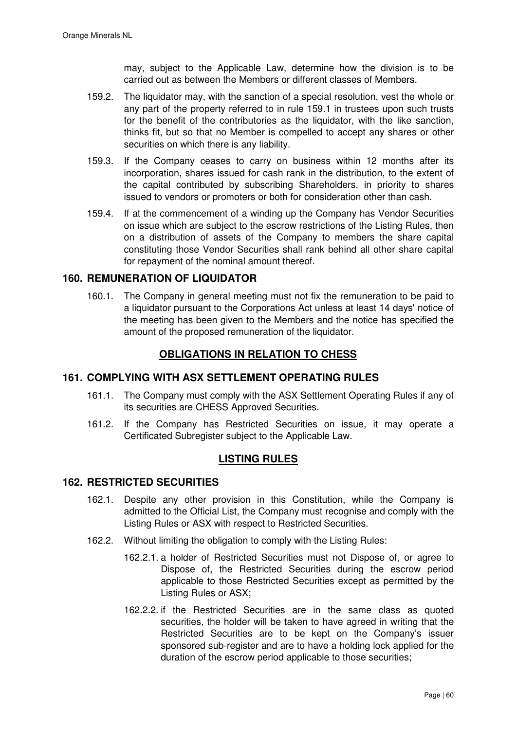may, subject to the Applicable Law, determine how the division is to be carried out as between the Members or different classes of Members.

- 159.2. The liquidator may, with the sanction of a special resolution, vest the whole or any part of the property referred to in rule 159.1 in trustees upon such trusts for the benefit of the contributories as the liquidator, with the like sanction, thinks fit, but so that no Member is compelled to accept any shares or other securities on which there is any liability.
- 159.3. If the Company ceases to carry on business within 12 months after its incorporation, shares issued for cash rank in the distribution, to the extent of the capital contributed by subscribing Shareholders, in priority to shares issued to vendors or promoters or both for consideration other than cash.
- 159.4. If at the commencement of a winding up the Company has Vendor Securities on issue which are subject to the escrow restrictions of the Listing Rules, then on a distribution of assets of the Company to members the share capital constituting those Vendor Securities shall rank behind all other share capital for repayment of the nominal amount thereof.

# **160. REMUNERATION OF LIQUIDATOR**

160.1. The Company in general meeting must not fix the remuneration to be paid to a liquidator pursuant to the Corporations Act unless at least 14 days' notice of the meeting has been given to the Members and the notice has specified the amount of the proposed remuneration of the liquidator.

# **OBLIGATIONS IN RELATION TO CHESS**

# **161. COMPLYING WITH ASX SETTLEMENT OPERATING RULES**

- 161.1. The Company must comply with the ASX Settlement Operating Rules if any of its securities are CHESS Approved Securities.
- 161.2. If the Company has Restricted Securities on issue, it may operate a Certificated Subregister subject to the Applicable Law.

# **LISTING RULES**

### **162. RESTRICTED SECURITIES**

- 162.1. Despite any other provision in this Constitution, while the Company is admitted to the Official List, the Company must recognise and comply with the Listing Rules or ASX with respect to Restricted Securities.
- 162.2. Without limiting the obligation to comply with the Listing Rules:
	- 162.2.1. a holder of Restricted Securities must not Dispose of, or agree to Dispose of, the Restricted Securities during the escrow period applicable to those Restricted Securities except as permitted by the Listing Rules or ASX;
	- 162.2.2. if the Restricted Securities are in the same class as quoted securities, the holder will be taken to have agreed in writing that the Restricted Securities are to be kept on the Company's issuer sponsored sub-register and are to have a holding lock applied for the duration of the escrow period applicable to those securities;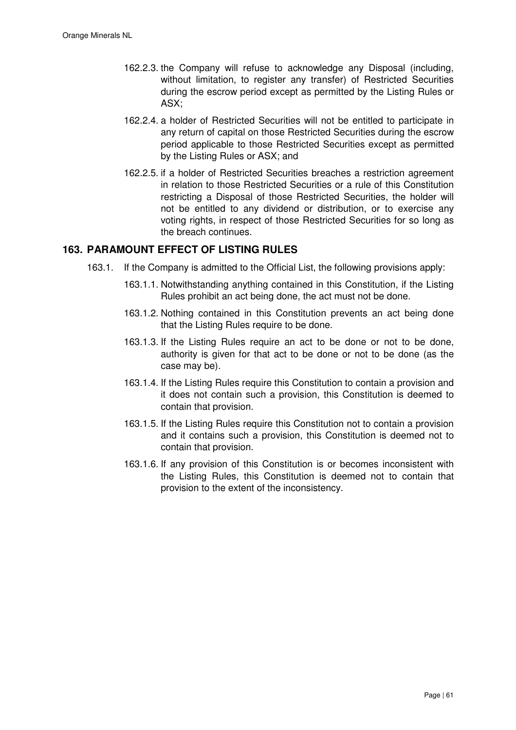- 162.2.3. the Company will refuse to acknowledge any Disposal (including, without limitation, to register any transfer) of Restricted Securities during the escrow period except as permitted by the Listing Rules or ASX;
- 162.2.4. a holder of Restricted Securities will not be entitled to participate in any return of capital on those Restricted Securities during the escrow period applicable to those Restricted Securities except as permitted by the Listing Rules or ASX; and
- 162.2.5. if a holder of Restricted Securities breaches a restriction agreement in relation to those Restricted Securities or a rule of this Constitution restricting a Disposal of those Restricted Securities, the holder will not be entitled to any dividend or distribution, or to exercise any voting rights, in respect of those Restricted Securities for so long as the breach continues.

### **163. PARAMOUNT EFFECT OF LISTING RULES**

- 163.1. If the Company is admitted to the Official List, the following provisions apply:
	- 163.1.1. Notwithstanding anything contained in this Constitution, if the Listing Rules prohibit an act being done, the act must not be done.
	- 163.1.2. Nothing contained in this Constitution prevents an act being done that the Listing Rules require to be done.
	- 163.1.3. If the Listing Rules require an act to be done or not to be done, authority is given for that act to be done or not to be done (as the case may be).
	- 163.1.4. If the Listing Rules require this Constitution to contain a provision and it does not contain such a provision, this Constitution is deemed to contain that provision.
	- 163.1.5. If the Listing Rules require this Constitution not to contain a provision and it contains such a provision, this Constitution is deemed not to contain that provision.
	- 163.1.6. If any provision of this Constitution is or becomes inconsistent with the Listing Rules, this Constitution is deemed not to contain that provision to the extent of the inconsistency.